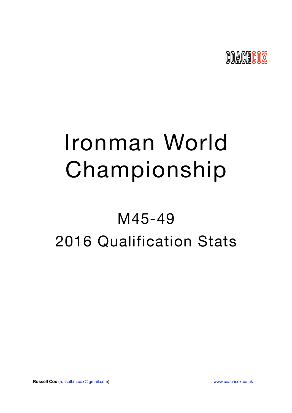

# Ironman World Championship

## M45-49 2016 Qualification Stats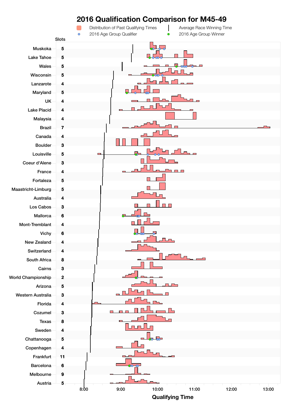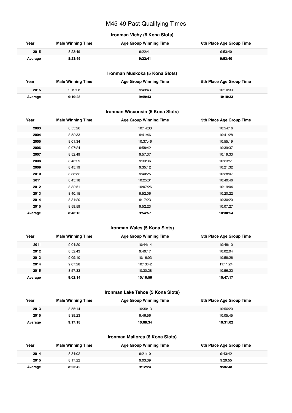## M45-49 Past Qualifying Times

## **Ironman Vichy (6 Kona Slots)**

| Year    | <b>Male Winning Time</b> | <b>Age Group Winning Time</b> | 6th Place Age Group Time |
|---------|--------------------------|-------------------------------|--------------------------|
| 2015    | 8:23:49                  | 9:22:41                       | 9:53:40                  |
| Average | 8:23:49                  | 9:22:41                       | 9:53:40                  |

## **Ironman Muskoka (5 Kona Slots)**

| Year    | <b>Male Winning Time</b> | <b>Age Group Winning Time</b> | 5th Place Age Group Time |
|---------|--------------------------|-------------------------------|--------------------------|
| 2015    | 9:19:28                  | 9:49:43                       | 10:10:33                 |
| Average | 9:19:28                  | 9:49:43                       | 10:10:33                 |

## **Ironman Wisconsin (5 Kona Slots)**

| Year    | <b>Male Winning Time</b> | <b>Age Group Winning Time</b> | 5th Place Age Group Time |
|---------|--------------------------|-------------------------------|--------------------------|
| 2003    | 8:55:26                  | 10:14:33                      | 10:54:16                 |
| 2004    | 8:52:33                  | 9:41:46                       | 10:41:28                 |
| 2005    | 9:01:34                  | 10:37:46                      | 10:55:19                 |
| 2006    | 9:07:24                  | 9:58:42                       | 10:39:37                 |
| 2007    | 8:52:49                  | 9:57:37                       | 10:19:33                 |
| 2008    | 8:43:29                  | 9:33:36                       | 10:23:51                 |
| 2009    | 8:45:19                  | 9:35:12                       | 10:21:32                 |
| 2010    | 8:38:32                  | 9:40:25                       | 10:28:07                 |
| 2011    | 8:45:18                  | 10:25:31                      | 10:40:46                 |
| 2012    | 8:32:51                  | 10:07:26                      | 10:19:04                 |
| 2013    | 8:40:15                  | 9:52:06                       | 10:20:22                 |
| 2014    | 8:31:20                  | 9:17:23                       | 10:30:20                 |
| 2015    | 8:59:59                  | 9:52:23                       | 10:07:27                 |
| Average | 8:48:13                  | 9:54:57                       | 10:30:54                 |

## **Ironman Wales (5 Kona Slots)**

| Year    | <b>Male Winning Time</b> | <b>Age Group Winning Time</b> | 5th Place Age Group Time |
|---------|--------------------------|-------------------------------|--------------------------|
| 2011    | 9:04:20                  | 10:44:14                      | 10:48:10                 |
| 2012    | 8:52:43                  | 9:40:17                       | 10:02:04                 |
| 2013    | 9:09:10                  | 10:16:03                      | 10:58:26                 |
| 2014    | 9:07:28                  | 10:13:42                      | 11:11:24                 |
| 2015    | 8:57:33                  | 10:30:28                      | 10:56:22                 |
| Average | 9:02:14                  | 10:16:56                      | 10:47:17                 |

## **Ironman Lake Tahoe (5 Kona Slots)**

| Year    | <b>Male Winning Time</b> | <b>Age Group Winning Time</b> | 5th Place Age Group Time |
|---------|--------------------------|-------------------------------|--------------------------|
| 2013    | 8:55:14                  | 10:30:13                      | 10:56:20                 |
| 2015    | 9:39:23                  | 9:46:56                       | 10:05:45                 |
| Average | 9:17:18                  | 10:08:34                      | 10:31:02                 |

## **Ironman Mallorca (6 Kona Slots)**

| Year    | <b>Male Winning Time</b> | <b>Age Group Winning Time</b> | 6th Place Age Group Time |
|---------|--------------------------|-------------------------------|--------------------------|
| 2014    | 8:34:02                  | 9:21:10                       | 9:43:42                  |
| 2015    | 8:17:22                  | 9:03:39                       | 9:29:55                  |
| Average | 8:25:42                  | 9:12:24                       | 9:36:48                  |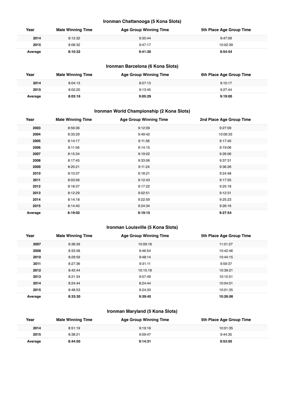## **Ironman Chattanooga (5 Kona Slots)**

| Year    | <b>Male Winning Time</b> | <b>Age Group Winning Time</b> | 5th Place Age Group Time |
|---------|--------------------------|-------------------------------|--------------------------|
| 2014    | 8:12:32                  | 9:35:44                       | 9:47:09                  |
| 2015    | 8:08:32                  | 9:47:17                       | 10:02:39                 |
| Average | 8:10:32                  | 9:41:30                       | 9:54:54                  |

## **Ironman Barcelona (6 Kona Slots)**

| Year    | <b>Male Winning Time</b> | <b>Age Group Winning Time</b> | 6th Place Age Group Time |
|---------|--------------------------|-------------------------------|--------------------------|
| 2014    | 8:04:13                  | 8:57:13                       | 9:10:17                  |
| 2015    | 8:02:20                  | 9:13:45                       | 9:27:44                  |
| Average | 8:03:16                  | 9:05:29                       | 9:19:00                  |

## **Ironman World Championship (2 Kona Slots)**

| Year    | <b>Male Winning Time</b> | <b>Age Group Winning Time</b> | 2nd Place Age Group Time |
|---------|--------------------------|-------------------------------|--------------------------|
| 2003    | 8:59:36                  | 9:12:09                       | 9:27:09                  |
| 2004    | 8:33:29                  | 9:49:42                       | 10:06:33                 |
| 2005    | 8:14:17                  | 9:11:56                       | 9:17:40                  |
| 2006    | 8:11:56                  | 9:14:15                       | 9:19:06                  |
| 2007    | 8:15:34                  | 9:19:02                       | 9:26:06                  |
| 2008    | 8:17:45                  | 9:33:06                       | 9:37:31                  |
| 2009    | 8:20:21                  | 9:11:24                       | 9:36:26                  |
| 2010    | 8:10:37                  | 9:18:21                       | 9:24:48                  |
| 2011    | 8:03:56                  | 9:12:43                       | 9:17:55                  |
| 2012    | 8:18:37                  | 9:17:22                       | 9:25:18                  |
| 2013    | 8:12:29                  | 9:02:51                       | 9:12:31                  |
| 2014    | 8:14:18                  | 9:22:59                       | 9:25:23                  |
| 2015    | 8:14:40                  | 9:24:34                       | 9:26:16                  |
| Average | 8:19:02                  | 9:19:15                       | 9:27:54                  |

## **Ironman Louisville (5 Kona Slots)**

| Year    | <b>Male Winning Time</b> | <b>Age Group Winning Time</b> | 5th Place Age Group Time |
|---------|--------------------------|-------------------------------|--------------------------|
| 2007    | 8:38:39                  | 10:09:18                      | 11:01:27                 |
| 2008    | 8:33:58                  | 9:46:54                       | 10:42:46                 |
| 2010    | 8:29:59                  | 9:48:14                       | 10:44:15                 |
| 2011    | 8:27:36                  | 9:31:11                       | 9:59:37                  |
| 2012    | 8:42:44                  | 10:15:18                      | 10:39:21                 |
| 2013    | 8:21:34                  | 9:57:49                       | 10:15:51                 |
| 2014    | 8:24:44                  | 8:24:44                       | 10:04:01                 |
| 2015    | 8:48:53                  | 9:24:33                       | 10:01:35                 |
| Average | 8:33:30                  | 9:39:45                       | 10:26:06                 |

## **Ironman Maryland (5 Kona Slots)**

| Year    | <b>Male Winning Time</b> | <b>Age Group Winning Time</b> | 5th Place Age Group Time |
|---------|--------------------------|-------------------------------|--------------------------|
| 2014    | 8:51:19                  | 9:19:16                       | 10:01:35                 |
| 2015    | 8:38:21                  | 9:09:47                       | 9:44:35                  |
| Average | 8:44:50                  | 9:14:31                       | 9:53:05                  |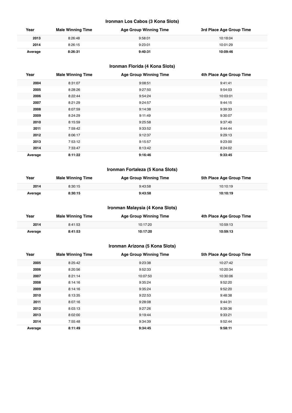## **Ironman Los Cabos (3 Kona Slots)**

| Year    | <b>Male Winning Time</b> | <b>Age Group Winning Time</b> | 3rd Place Age Group Time |
|---------|--------------------------|-------------------------------|--------------------------|
| 2013    | 8:26:48                  | 9:58:01                       | 10:18:04                 |
| 2014    | 8:26:15                  | 9:23:01                       | 10:01:29                 |
| Average | 8:26:31                  | 9:40:31                       | 10:09:46                 |

## **Ironman Florida (4 Kona Slots)**

| Year    | <b>Male Winning Time</b> | <b>Age Group Winning Time</b> | 4th Place Age Group Time |
|---------|--------------------------|-------------------------------|--------------------------|
| 2004    | 8:31:07                  | 9:08:51                       | 9:41:41                  |
| 2005    | 8:28:26                  | 9:27:50                       | 9:54:03                  |
| 2006    | 8:22:44                  | 9:54:24                       | 10:03:01                 |
| 2007    | 8:21:29                  | 9:24:57                       | 9:44:15                  |
| 2008    | 8:07:59                  | 9:14:38                       | 9:39:33                  |
| 2009    | 8:24:29                  | 9:11:49                       | 9:30:07                  |
| 2010    | 8:15:59                  | 9:25:58                       | 9:37:40                  |
| 2011    | 7:59:42                  | 9:33:52                       | 9:44:44                  |
| 2012    | 8:06:17                  | 9:12:37                       | 9:29:13                  |
| 2013    | 7:53:12                  | 9:15:57                       | 9:23:00                  |
| 2014    | 7:33:47                  | 8:13:42                       | 8:24:02                  |
| Average | 8:11:22                  | 9:16:46                       | 9:33:45                  |

## **Ironman Fortaleza (5 Kona Slots)**

| Year    | <b>Male Winning Time</b> | <b>Age Group Winning Time</b> | 5th Place Age Group Time |
|---------|--------------------------|-------------------------------|--------------------------|
| 2014    | 8:30:15                  | 9:43:58                       | 10:10:19                 |
| Average | 8:30:15                  | 9:43:58                       | 10:10:19                 |

## **Ironman Malaysia (4 Kona Slots)**

| Year    | <b>Male Winning Time</b> | <b>Age Group Winning Time</b> | 4th Place Age Group Time |
|---------|--------------------------|-------------------------------|--------------------------|
| 2014    | 8:41:53                  | 10:17:20                      | 10:59:13                 |
| Average | 8:41:53                  | 10:17:20                      | 10:59:13                 |

## **Ironman Arizona (5 Kona Slots)**

| Year    | <b>Male Winning Time</b> | <b>Age Group Winning Time</b> | 5th Place Age Group Time |
|---------|--------------------------|-------------------------------|--------------------------|
| 2005    | 8:25:42                  | 9:23:38                       | 10:27:42                 |
| 2006    | 8:20:56                  | 9:52:33                       | 10:20:34                 |
| 2007    | 8:21:14                  | 10:07:50                      | 10:30:06                 |
| 2008    | 8:14:16                  | 9:35:24                       | 9:52:20                  |
| 2009    | 8:14:16                  | 9:35:24                       | 9:52:20                  |
| 2010    | 8:13:35                  | 9:22:53                       | 9:48:38                  |
| 2011    | 8:07:16                  | 9:28:08                       | 9:44:31                  |
| 2012    | 8:03:13                  | 9:27:26                       | 9:39:36                  |
| 2013    | 8:02:00                  | 9:19:44                       | 9:33:21                  |
| 2014    | 7:55:48                  | 9:34:39                       | 9:52:44                  |
| Average | 8:11:49                  | 9:34:45                       | 9:58:11                  |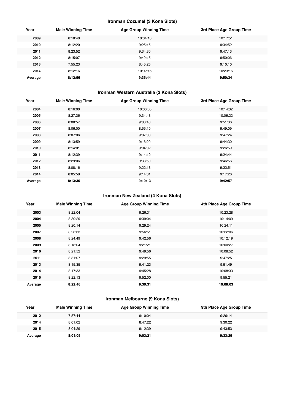## **Ironman Cozumel (3 Kona Slots)**

| Year    | <b>Male Winning Time</b> | <b>Age Group Winning Time</b> | 3rd Place Age Group Time |
|---------|--------------------------|-------------------------------|--------------------------|
| 2009    | 8:18:40                  | 10:04:18                      | 10:17:51                 |
| 2010    | 8:12:20                  | 9:25:45                       | 9:34:52                  |
| 2011    | 8:23:52                  | 9:34:30                       | 9:47:13                  |
| 2012    | 8:15:07                  | 9:42:15                       | 9:50:06                  |
| 2013    | 7:55:23                  | 8:45:25                       | 9:10:10                  |
| 2014    | 8:12:16                  | 10:02:16                      | 10:23:16                 |
| Average | 8:12:56                  | 9:35:44                       | 9:50:34                  |

## **Ironman Western Australia (3 Kona Slots)**

| Year    | <b>Male Winning Time</b> | <b>Age Group Winning Time</b> | 3rd Place Age Group Time |
|---------|--------------------------|-------------------------------|--------------------------|
| 2004    | 8:16:00                  | 10:00:33                      | 10:14:32                 |
| 2005    | 8:27:36                  | 9:34:43                       | 10:06:22                 |
| 2006    | 8:08:57                  | 9:08:43                       | 9:51:36                  |
| 2007    | 8:06:00                  | 8:55:10                       | 9:49:09                  |
| 2008    | 8:07:06                  | 9:07:08                       | 9:47:24                  |
| 2009    | 8:13:59                  | 9:16:29                       | 9:44:30                  |
| 2010    | 8:14:01                  | 9:04:02                       | 9:26:59                  |
| 2011    | 8:12:39                  | 9:14:10                       | 9:24:44                  |
| 2012    | 8:29:06                  | 9:33:50                       | 9:46:56                  |
| 2013    | 8:08:16                  | 9:22:13                       | 9:22:51                  |
| 2014    | 8:05:58                  | 9:14:31                       | 9:17:26                  |
| Average | 8:13:36                  | 9:19:13                       | 9:42:57                  |

## **Ironman New Zealand (4 Kona Slots)**

| Year    | <b>Male Winning Time</b> | <b>Age Group Winning Time</b> | 4th Place Age Group Time |
|---------|--------------------------|-------------------------------|--------------------------|
| 2003    | 8:22:04                  | 9:26:31                       | 10:23:28                 |
| 2004    | 8:30:29                  | 9:39:04                       | 10:14:09                 |
| 2005    | 8:20:14                  | 9:29:24                       | 10:24:11                 |
| 2007    | 8:26:33                  | 9:56:51                       | 10:22:06                 |
| 2008    | 8:24:49                  | 9:42:56                       | 10:12:19                 |
| 2009    | 8:18:04                  | 9:21:21                       | 10:00:27                 |
| 2010    | 8:21:52                  | 9:49:56                       | 10:08:52                 |
| 2011    | 8:31:07                  | 9:29:55                       | 9:47:25                  |
| 2013    | 8:15:35                  | 9:41:23                       | 9:51:49                  |
| 2014    | 8:17:33                  | 9:45:28                       | 10:08:33                 |
| 2015    | 8:22:13                  | 9:52:00                       | 9:55:21                  |
| Average | 8:22:46                  | 9:39:31                       | 10:08:03                 |

## **Ironman Melbourne (9 Kona Slots)**

| Year    | <b>Male Winning Time</b> | <b>Age Group Winning Time</b> | 9th Place Age Group Time |
|---------|--------------------------|-------------------------------|--------------------------|
| 2012    | 7:57:44                  | 9:10:04                       | 9:26:14                  |
| 2014    | 8:01:02                  | 8:47:22                       | 9:30:22                  |
| 2015    | 8:04:29                  | 9:12:39                       | 9:43:53                  |
| Average | 8:01:05                  | 9:03:21                       | 9:33:29                  |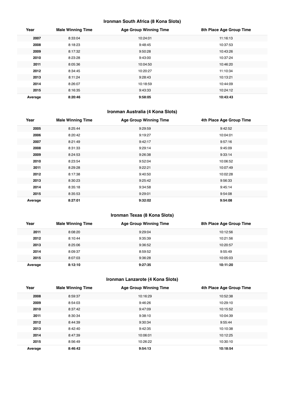## **Ironman South Africa (8 Kona Slots)**

| Year    | <b>Male Winning Time</b> | <b>Age Group Winning Time</b> | 8th Place Age Group Time |
|---------|--------------------------|-------------------------------|--------------------------|
| 2007    | 8:33:04                  | 10:24:01                      | 11:16:13                 |
| 2008    | 8:18:23                  | 9:48:45                       | 10:37:53                 |
| 2009    | 8:17:32                  | 9:50:28                       | 10:43:26                 |
| 2010    | 8:23:28                  | 9:43:00                       | 10:37:24                 |
| 2011    | 8:05:36                  | 10:04:50                      | 10:46:20                 |
| 2012    | 8:34:45                  | 10:20:27                      | 11:10:34                 |
| 2013    | 8:11:24                  | 9:28:43                       | 10:13:21                 |
| 2014    | 8:26:07                  | 10:18:59                      | 10:44:09                 |
| 2015    | 8:16:35                  | 9:43:33                       | 10:24:12                 |
| Average | 8:20:46                  | 9:58:05                       | 10:43:43                 |

## **Ironman Australia (4 Kona Slots)**

| Year    | <b>Male Winning Time</b> | <b>Age Group Winning Time</b> | 4th Place Age Group Time |
|---------|--------------------------|-------------------------------|--------------------------|
| 2005    | 8:25:44                  | 9:29:59                       | 9:42:52                  |
| 2006    | 8:20:42                  | 9:19:27                       | 10:04:01                 |
| 2007    | 8:21:49                  | 9:42:17                       | 9:57:16                  |
| 2008    | 8:31:33                  | 9:29:14                       | 9:45:09                  |
| 2009    | 8:24:53                  | 9:26:38                       | 9:33:14                  |
| 2010    | 8:23:54                  | 9:52:04                       | 10:06:52                 |
| 2011    | 8:29:28                  | 9:22:21                       | 10:07:49                 |
| 2012    | 8:17:38                  | 9:40:50                       | 10:02:28                 |
| 2013    | 8:30:23                  | 9:25:42                       | 9:56:33                  |
| 2014    | 8:35:18                  | 9:34:58                       | 9:45:14                  |
| 2015    | 8:35:53                  | 9:29:01                       | 9:54:08                  |
| Average | 8:27:01                  | 9:32:02                       | 9:54:08                  |

## **Ironman Texas (8 Kona Slots)**

| Year    | <b>Male Winning Time</b> | <b>Age Group Winning Time</b> | 8th Place Age Group Time |
|---------|--------------------------|-------------------------------|--------------------------|
| 2011    | 8:08:20                  | 9:29:04                       | 10:12:56                 |
| 2012    | 8:10:44                  | 9:35:39                       | 10:21:56                 |
| 2013    | 8:25:06                  | 9:36:52                       | 10:20:57                 |
| 2014    | 8:09:37                  | 8:59:52                       | 9:55:49                  |
| 2015    | 8:07:03                  | 9:36:28                       | 10:05:03                 |
| Average | 8:12:10                  | 9:27:35                       | 10:11:20                 |

## **Ironman Lanzarote (4 Kona Slots)**

| Year    | <b>Male Winning Time</b> | <b>Age Group Winning Time</b> | 4th Place Age Group Time |
|---------|--------------------------|-------------------------------|--------------------------|
| 2008    | 8:59:37                  | 10:16:29                      | 10:52:38                 |
| 2009    | 8:54:03                  | 9:46:26                       | 10:29:10                 |
| 2010    | 8:37:42                  | 9:47:09                       | 10:15:52                 |
| 2011    | 8:30:34                  | 9:38:10                       | 10:04:39                 |
| 2012    | 8:44:39                  | 9:30:34                       | 9:55:44                  |
| 2013    | 8:42:40                  | 9:42:35                       | 10:10:38                 |
| 2014    | 8:47:39                  | 10:06:01                      | 10:12:25                 |
| 2015    | 8:56:49                  | 10:26:22                      | 10:30:10                 |
| Average | 8:46:42                  | 9:54:13                       | 10:18:54                 |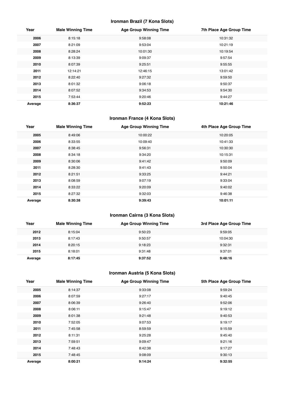## **Ironman Brazil (7 Kona Slots)**

| Year    | <b>Male Winning Time</b> | <b>Age Group Winning Time</b> | 7th Place Age Group Time |
|---------|--------------------------|-------------------------------|--------------------------|
| 2006    | 8:15:18                  | 9:58:08                       | 10:31:32                 |
| 2007    | 8:21:09                  | 9:53:04                       | 10:21:19                 |
| 2008    | 8:28:24                  | 10:01:30                      | 10:19:54                 |
| 2009    | 8:13:39                  | 9:09:37                       | 9:57:54                  |
| 2010    | 8:07:39                  | 9:25:51                       | 9:55:55                  |
| 2011    | 12:14:21                 | 12:46:15                      | 13:01:42                 |
| 2012    | 8:22:40                  | 9:27:32                       | 9:59:50                  |
| 2013    | 8:01:32                  | 9:06:18                       | 9:50:37                  |
| 2014    | 8:07:52                  | 9:34:53                       | 9:54:30                  |
| 2015    | 7:53:44                  | 9:20:46                       | 9:44:27                  |
| Average | 8:36:37                  | 9:52:23                       | 10:21:46                 |

## **Ironman France (4 Kona Slots)**

| Year    | <b>Male Winning Time</b> | <b>Age Group Winning Time</b> | 4th Place Age Group Time |
|---------|--------------------------|-------------------------------|--------------------------|
| 2005    | 8:49:06                  | 10:00:22                      | 10:20:05                 |
| 2006    | 8:33:55                  | 10:09:40                      | 10:41:33                 |
| 2007    | 8:38:45                  | 9:56:31                       | 10:30:30                 |
| 2008    | 8:34:18                  | 9:34:20                       | 10:15:31                 |
| 2009    | 8:30:06                  | 9:41:42                       | 9:50:09                  |
| 2011    | 8:28:30                  | 9:41:43                       | 9:50:04                  |
| 2012    | 8:21:51                  | 9:33:25                       | 9:44:21                  |
| 2013    | 8:08:59                  | 9:07:19                       | 9:33:04                  |
| 2014    | 8:33:22                  | 9:20:09                       | 9:40:02                  |
| 2015    | 8:27:32                  | 9:32:03                       | 9:46:38                  |
| Average | 8:30:38                  | 9:39:43                       | 10:01:11                 |

## **Ironman Cairns (3 Kona Slots)**

| Year    | <b>Male Winning Time</b> | <b>Age Group Winning Time</b> | 3rd Place Age Group Time |
|---------|--------------------------|-------------------------------|--------------------------|
| 2012    | 8:15:04                  | 9:50:23                       | 9:59:05                  |
| 2013    | 8:17:43                  | 9:50:57                       | 10:04:30                 |
| 2014    | 8:20:15                  | 9:18:23                       | 9:32:31                  |
| 2015    | 8:18:01                  | 9:31:48                       | 9:37:01                  |
| Average | 8:17:45                  | 9:37:52                       | 9:48:16                  |

## **Ironman Austria (5 Kona Slots)**

| Year    | <b>Male Winning Time</b> | <b>Age Group Winning Time</b> | 5th Place Age Group Time |
|---------|--------------------------|-------------------------------|--------------------------|
| 2005    | 8:14:37                  | 9:33:08                       | 9:59:24                  |
| 2006    | 8:07:59                  | 9:27:17                       | 9:40:45                  |
| 2007    | 8:06:39                  | 9:26:40                       | 9:52:06                  |
| 2008    | 8:06:11                  | 9:15:47                       | 9:19:12                  |
| 2009    | 8:01:38                  | 9:21:48                       | 9:40:53                  |
| 2010    | 7:52:05                  | 9:07:53                       | 9:19:17                  |
| 2011    | 7:45:58                  | 8:59:59                       | 9:15:59                  |
| 2012    | 8:11:31                  | 9:25:28                       | 9:45:40                  |
| 2013    | 7:59:51                  | 9:09:47                       | 9:21:16                  |
| 2014    | 7:48:43                  | 8:42:38                       | 9:17:27                  |
| 2015    | 7:48:45                  | 9:08:09                       | 9:30:13                  |
| Average | 8:00:21                  | 9:14:24                       | 9:32:55                  |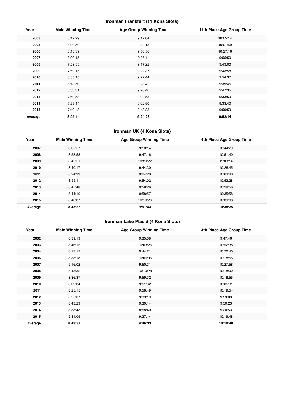## **Ironman Frankfurt (11 Kona Slots)**

| Year    | <b>Male Winning Time</b> | <b>Age Group Winning Time</b> | 11th Place Age Group Time |
|---------|--------------------------|-------------------------------|---------------------------|
| 2003    | 8:12:29                  | 9:17:04                       | 10:05:14                  |
| 2005    | 8:20:50                  | 9:32:18                       | 10:01:59                  |
| 2006    | 8:13:39                  | 9:56:56                       | 10:27:16                  |
| 2007    | 8:09:15                  | 9:25:11                       | 9:55:50                   |
| 2008    | 7:59:55                  | 9:17:22                       | 9:43:00                   |
| 2009    | 7:59:15                  | 9:22:37                       | 9:43:58                   |
| 2010    | 8:05:15                  | 9:22:44                       | 9:54:37                   |
| 2011    | 8:13:50                  | 9:23:42                       | 9:39:45                   |
| 2012    | 8:03:31                  | 9:26:46                       | 9:47:35                   |
| 2013    | 7:59:58                  | 9:02:53                       | 9:33:59                   |
| 2014    | 7:55:14                  | 9:02:50                       | 9:33:40                   |
| 2015    | 7:49:48                  | 9:43:23                       | 9:59:59                   |
| Average | 8:05:14                  | 9:24:28                       | 9:52:14                   |

## **Ironman UK (4 Kona Slots)**

| Year    | <b>Male Winning Time</b> | <b>Age Group Winning Time</b> | 4th Place Age Group Time |
|---------|--------------------------|-------------------------------|--------------------------|
| 2007    | 8:35:57                  | 9:18:14                       | 10:44:29                 |
| 2008    | 8:53:58                  | 9:47:16                       | 10:51:40                 |
| 2009    | 8:45:51                  | 10:29:22                      | 11:03:14                 |
| 2010    | 8:40:17                  | 9:44:30                       | 10:26:45                 |
| 2011    | 8:24:33                  | 9:24:20                       | 10:03:40                 |
| 2012    | 8:55:11                  | 9:54:02                       | 10:53:28                 |
| 2013    | 8:45:48                  | 9:58:26                       | 10:28:56                 |
| 2014    | 8:44:10                  | 9:58:57                       | 10:35:58                 |
| 2015    | 8:46:37                  | 10:10:26                      | 10:39:08                 |
| Average | 8:43:35                  | 9:51:43                       | 10:38:35                 |

## **Ironman Lake Placid (4 Kona Slots)**

| Year    | <b>Male Winning Time</b> | <b>Age Group Winning Time</b> | 4th Place Age Group Time |
|---------|--------------------------|-------------------------------|--------------------------|
| 2002    | 8:39:19                  | 9:35:08                       | 9:47:46                  |
| 2003    | 8:46:15                  | 10:03:26                      | 10:52:38                 |
| 2004    | 8:23:12                  | 9:44:21                       | 10:20:40                 |
| 2006    | 8:38:18                  | 10:06:06                      | 10:18:55                 |
| 2007    | 9:16:02                  | 9:50:31                       | 10:27:58                 |
| 2008    | 8:43:32                  | 10:10:28                      | 10:18:00                 |
| 2009    | 8:36:37                  | 9:59:32                       | 10:18:55                 |
| 2010    | 8:39:34                  | 9:51:32                       | 10:05:31                 |
| 2011    | 8:25:15                  | 9:58:49                       | 10:19:54                 |
| 2012    | 8:25:07                  | 9:39:19                       | 9:59:03                  |
| 2013    | 8:43:29                  | 9:30:14                       | 9:50:23                  |
| 2014    | 8:38:43                  | 8:58:40                       | 9:20:53                  |
| 2015    | 9:31:09                  | 9:37:14                       | 10:19:48                 |
| Average | 8:43:34                  | 9:46:33                       | 10:10:48                 |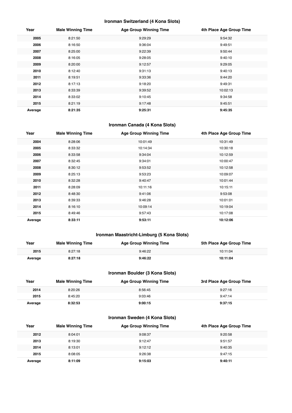## **Ironman Switzerland (4 Kona Slots)**

| Year    | <b>Male Winning Time</b> | <b>Age Group Winning Time</b> | 4th Place Age Group Time |
|---------|--------------------------|-------------------------------|--------------------------|
| 2005    | 8:21:50                  | 9:29:29                       | 9:54:32                  |
| 2006    | 8:16:50                  | 9:36:04                       | 9:49:51                  |
| 2007    | 8:25:00                  | 9:22:39                       | 9:50:44                  |
| 2008    | 8:16:05                  | 9:28:05                       | 9:40:10                  |
| 2009    | 8:20:00                  | 9:12:57                       | 9:29:05                  |
| 2010    | 8:12:40                  | 9:31:13                       | 9:40:13                  |
| 2011    | 8:19:51                  | 9:33:36                       | 9:44:20                  |
| 2012    | 8:17:13                  | 9:18:20                       | 9:49:31                  |
| 2013    | 8:33:39                  | 9:39:52                       | 10:02:13                 |
| 2014    | 8:33:02                  | 9:10:45                       | 9:34:58                  |
| 2015    | 8:21:19                  | 9:17:48                       | 9:45:51                  |
| Average | 8:21:35                  | 9:25:31                       | 9:45:35                  |

## **Ironman Canada (4 Kona Slots)**

| Year    | <b>Male Winning Time</b> | <b>Age Group Winning Time</b> | 4th Place Age Group Time |
|---------|--------------------------|-------------------------------|--------------------------|
| 2004    | 8:28:06                  | 10:01:49                      | 10:31:49                 |
| 2005    | 8:33:32                  | 10:14:34                      | 10:30:18                 |
| 2006    | 8:33:58                  | 9:34:04                       | 10:12:59                 |
| 2007    | 8:32:45                  | 9:34:01                       | 10:00:47                 |
| 2008    | 8:30:12                  | 9:53:52                       | 10:12:58                 |
| 2009    | 8:25:13                  | 9:53:23                       | 10:09:07                 |
| 2010    | 8:32:28                  | 9:40:47                       | 10:01:44                 |
| 2011    | 8:28:09                  | 10:11:16                      | 10:15:11                 |
| 2012    | 8:48:30                  | 9:41:06                       | 9:53:08                  |
| 2013    | 8:39:33                  | 9:46:28                       | 10:01:01                 |
| 2014    | 8:16:10                  | 10:09:14                      | 10:19:04                 |
| 2015    | 8:49:46                  | 9:57:43                       | 10:17:08                 |
| Average | 8:33:11                  | 9:53:11                       | 10:12:06                 |

## **Ironman Maastricht-Limburg (5 Kona Slots)**

| Year    | <b>Male Winning Time</b> | <b>Age Group Winning Time</b> | 5th Place Age Group Time |
|---------|--------------------------|-------------------------------|--------------------------|
| 2015    | 8:27:18                  | 9:46:22                       | 10:11:04                 |
| Average | 8:27:18                  | 9:46:22                       | 10:11:04                 |

## **Ironman Boulder (3 Kona Slots)**

| Year    | <b>Male Winning Time</b> | <b>Age Group Winning Time</b> | 3rd Place Age Group Time |
|---------|--------------------------|-------------------------------|--------------------------|
| 2014    | 8:20:26                  | 8:56:45                       | 9:27:16                  |
| 2015    | 8:45:20                  | 9:03:46                       | 9:47:14                  |
| Average | 8:32:53                  | 9:00:15                       | 9:37:15                  |

## **Ironman Sweden (4 Kona Slots)**

| Year    | <b>Male Winning Time</b> | <b>Age Group Winning Time</b> | 4th Place Age Group Time |
|---------|--------------------------|-------------------------------|--------------------------|
| 2012    | 8:04:01                  | 9:08:37                       | 9:20:58                  |
| 2013    | 8:19:30                  | 9:12:47                       | 9:51:57                  |
| 2014    | 8:13:01                  | 9:12:12                       | 9:40:35                  |
| 2015    | 8:08:05                  | 9:26:38                       | 9:47:15                  |
| Average | 8:11:09                  | 9:15:03                       | 9:40:11                  |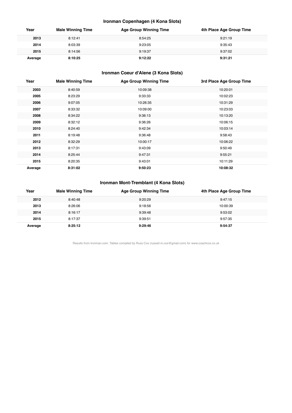## **Ironman Copenhagen (4 Kona Slots)**

| Year    | <b>Male Winning Time</b> | <b>Age Group Winning Time</b> | 4th Place Age Group Time |
|---------|--------------------------|-------------------------------|--------------------------|
| 2013    | 8:12:41                  | 8:54:25                       | 9:21:19                  |
| 2014    | 8:03:39                  | 9:23:05                       | 9:35:43                  |
| 2015    | 8:14:56                  | 9:19:37                       | 9:37:02                  |
| Average | 8:10:25                  | 9:12:22                       | 9:31:21                  |

## **Ironman Coeur d'Alene (3 Kona Slots)**

| Year    | <b>Male Winning Time</b> | <b>Age Group Winning Time</b> | 3rd Place Age Group Time |
|---------|--------------------------|-------------------------------|--------------------------|
| 2003    | 8:40:59                  | 10:09:38                      | 10:20:01                 |
| 2005    | 8:23:29                  | 9:33:33                       | 10:02:23                 |
| 2006    | 9:07:05                  | 10:26:35                      | 10:31:29                 |
| 2007    | 8:33:32                  | 10:09:00                      | 10:23:03                 |
| 2008    | 8:34:22                  | 9:36:13                       | 10:13:20                 |
| 2009    | 8:32:12                  | 9:36:26                       | 10:06:15                 |
| 2010    | 8:24:40                  | 9:42:34                       | 10:03:14                 |
| 2011    | 8:19:48                  | 9:36:48                       | 9:58:43                  |
| 2012    | 8:32:29                  | 10:00:17                      | 10:06:22                 |
| 2013    | 8:17:31                  | 9:43:09                       | 9:50:49                  |
| 2014    | 8:25:44                  | 9:47:31                       | 9:55:21                  |
| 2015    | 8:20:35                  | 9:43:01                       | 10:11:29                 |
| Average | 8:31:02                  | 9:50:23                       | 10:08:32                 |

## **Ironman Mont-Tremblant (4 Kona Slots)**

| Year    | <b>Male Winning Time</b> | <b>Age Group Winning Time</b> | 4th Place Age Group Time |
|---------|--------------------------|-------------------------------|--------------------------|
| 2012    | 8:40:48                  | 9:20:29                       | 9:47:15                  |
| 2013    | 8:26:06                  | 9:18:56                       | 10:00:39                 |
| 2014    | 8:16:17                  | 9:39:48                       | 9:53:02                  |
| 2015    | 8:17:37                  | 9:39:51                       | 9:57:35                  |
| Average | 8:25:12                  | 9:29:46                       | 9:54:37                  |

Results from Ironman.com. Tables compiled by Russ Cox (russell.m.cox@gmail.com) for www.coachcox.co.uk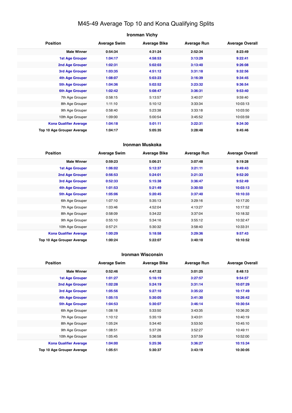## M45-49 Average Top 10 and Kona Qualifying Splits

## **Ironman Vichy Position Average Swim Average Bike Average Run Average Overall Male Winner 0:54:34 4:31:24 2:52:34 8:23:49 1st Age Grouper 1:04:17 4:58:53 3:13:29 9:22:41 2nd Age Grouper 1:02:31 5:02:03 3:13:40 9:26:08 3rd Age Grouper 1:03:35 4:51:12 3:31:18 9:32:56 4th Age Grouper 1:08:07 5:03:23 3:16:39 9:34:45 5th Age Grouper 1:04:36 5:02:52 3:23:32 9:36:54 6th Age Grouper 1:02:42 5:08:47 3:36:31 9:53:40** 7th Age Grouper 0:58:15 5:13:57 3:40:07 9:59:40 8th Age Grouper 1:11:10 5:10:12 3:33:34 10:03:13 9th Age Grouper 0:58:40 5:23:38 3:33:18 10:03:50 10th Age Grouper 1:09:00 5:00:54 3:45:52 10:03:59 **Kona Qualifier Average 1:04:18 5:01:11 3:22:31 9:34:30 Top 10 Age Grouper Average 1:04:17 5:05:35 3:28:48 9:45:46**

#### **Ironman Muskoka**

| <b>Position</b>                   | <b>Average Swim</b> | <b>Average Bike</b> | <b>Average Run</b> | <b>Average Overall</b> |
|-----------------------------------|---------------------|---------------------|--------------------|------------------------|
| <b>Male Winner</b>                | 0:59:23             | 5:06:21             | 3:07:48            | 9:19:28                |
| <b>1st Age Grouper</b>            | 1:06:02             | 5:12:37             | 3:21:11            | 9:49:43                |
| 2nd Age Grouper                   | 0:56:53             | 5:24:01             | 3:21:33            | 9:52:20                |
| 3rd Age Grouper                   | 0:52:33             | 5:15:38             | 3:36:47            | 9:52:49                |
| 4th Age Grouper                   | 1:01:53             | 5:21:49             | 3:30:50            | 10:03:13               |
| <b>5th Age Grouper</b>            | 1:05:06             | 5:20:45             | 3:37:40            | 10:10:33               |
| 6th Age Grouper                   | 1:07:10             | 5:35:13             | 3:29:16            | 10:17:20               |
| 7th Age Grouper                   | 1:03:46             | 4:52:04             | 4:13:27            | 10:17:52               |
| 8th Age Grouper                   | 0:58:09             | 5:34:22             | 3:37:04            | 10:18:32               |
| 9th Age Grouper                   | 0:55:10             | 5:34:16             | 3:55:12            | 10:32:47               |
| 10th Age Grouper                  | 0:57:21             | 5:30:32             | 3:58:40            | 10:33:31               |
| <b>Kona Qualifier Average</b>     | 1:00:29             | 5:18:58             | 3:29:36            | 9:57:43                |
| <b>Top 10 Age Grouper Average</b> | 1:00:24             | 5:22:07             | 3:40:10            | 10:10:52               |

#### **Ironman Wisconsin**

| <b>Position</b>                   | <b>Average Swim</b> | <b>Average Bike</b> | <b>Average Run</b> | <b>Average Overall</b> |
|-----------------------------------|---------------------|---------------------|--------------------|------------------------|
| <b>Male Winner</b>                | 0:52:46             | 4:47:32             | 3:01:25            | 8:48:13                |
| <b>1st Age Grouper</b>            | 1:01:27             | 5:16:19             | 3:27:57            | 9:54:57                |
| 2nd Age Grouper                   | 1:02:28             | 5:24:19             | 3:31:14            | 10:07:29               |
| 3rd Age Grouper                   | 1:05:56             | 5:27:10             | 3:35:22            | 10:17:49               |
| 4th Age Grouper                   | 1:05:15             | 5:30:05             | 3:41:30            | 10:26:42               |
| <b>5th Age Grouper</b>            | 1:04:53             | 5:30:07             | 3:46:14            | 10:30:54               |
| 6th Age Grouper                   | 1:08:18             | 5:33:50             | 3:43:35            | 10:36:20               |
| 7th Age Grouper                   | 1:10:12             | 5:35:19             | 3:43:01            | 10:40:19               |
| 8th Age Grouper                   | 1:05:24             | 5:34:40             | 3:53:50            | 10:45:10               |
| 9th Age Grouper                   | 1:08:51             | 5:37:26             | 3:52:27            | 10:49:11               |
| 10th Age Grouper                  | 1:05:45             | 5:36:58             | 3:57:59            | 10:52:00               |
| <b>Kona Qualifier Average</b>     | 1:04:00             | 5:25:36             | 3:36:27            | 10:15:34               |
| <b>Top 10 Age Grouper Average</b> | 1:05:51             | 5:30:37             | 3:43:19            | 10:30:05               |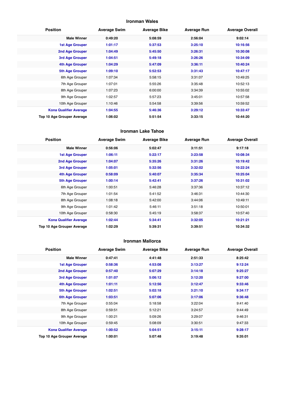## **Ironman Wales**

| <b>Position</b>               | <b>Average Swim</b> | <b>Average Bike</b> | <b>Average Run</b> | <b>Average Overall</b> |
|-------------------------------|---------------------|---------------------|--------------------|------------------------|
| <b>Male Winner</b>            | 0:49:20             | 5:08:59             | 2:56:04            | 9:02:14                |
| <b>1st Age Grouper</b>        | 1:01:17             | 5:37:53             | 3:25:10            | 10:16:56               |
| 2nd Age Grouper               | 1:04:49             | 5:45:50             | 3:26:31            | 10:30:08               |
| 3rd Age Grouper               | 1:04:51             | 5:49:18             | 3:26:26            | 10:34:09               |
| 4th Age Grouper               | 1:04:29             | 5:47:09             | 3:36:11            | 10:40:24               |
| <b>5th Age Grouper</b>        | 1:09:10             | 5:52:53             | 3:31:43            | 10:47:17               |
| 6th Age Grouper               | 1:07:34             | 5:58:15             | 3:31:07            | 10:49:25               |
| 7th Age Grouper               | 1:07:01             | 5:55:26             | 3:35:48            | 10:52:13               |
| 8th Age Grouper               | 1:07:23             | 6:00:00             | 3:34:39            | 10:55:02               |
| 9th Age Grouper               | 1:02:57             | 5:57:23             | 3:45:01            | 10:57:58               |
| 10th Age Grouper              | 1:10:46             | 5:54:58             | 3:39:56            | 10:59:52               |
| <b>Kona Qualifier Average</b> | 1:04:55             | 5:46:36             | 3:29:12            | 10:33:47               |
| Top 10 Age Grouper Average    | 1:06:02             | 5:51:54             | 3:33:15            | 10:44:20               |

#### **Ironman Lake Tahoe**

| <b>Position</b>               | <b>Average Swim</b> | <b>Average Bike</b> | <b>Average Run</b> | <b>Average Overall</b> |
|-------------------------------|---------------------|---------------------|--------------------|------------------------|
| <b>Male Winner</b>            | 0:56:06             | 5:02:47             | 3:11:51            | 9:17:18                |
| <b>1st Age Grouper</b>        | 1:06:11             | 5:22:17             | 3:23:58            | 10:08:34               |
| 2nd Age Grouper               | 1:04:07             | 5:35:26             | 3:31:26            | 10:19:42               |
| 3rd Age Grouper               | 1:05:01             | 5:32:56             | 3:32:02            | 10:22:24               |
| 4th Age Grouper               | 0:58:09             | 5:40:07             | 3:35:34            | 10:25:04               |
| 5th Age Grouper               | 1:00:14             | 5:42:41             | 3:37:26            | 10:31:02               |
| 6th Age Grouper               | 1:00:51             | 5:46:28             | 3:37:36            | 10:37:12               |
| 7th Age Grouper               | 1:01:54             | 5:41:52             | 3:46:31            | 10:44:30               |
| 8th Age Grouper               | 1:08:18             | 5:42:00             | 3:44:06            | 10:49:11               |
| 9th Age Grouper               | 1:01:42             | 5:46:11             | 3:51:18            | 10:50:01               |
| 10th Age Grouper              | 0:58:30             | 5:45:19             | 3:58:37            | 10:57:40               |
| <b>Kona Qualifier Average</b> | 1:02:44             | 5:34:41             | 3:32:05            | 10:21:21               |
| Top 10 Age Grouper Average    | 1:02:29             | 5:39:31             | 3:39:51            | 10:34:32               |

#### **Ironman Mallorca**

| <b>Position</b>               | <b>Average Swim</b> | <b>Average Bike</b> | <b>Average Run</b> | <b>Average Overall</b> |
|-------------------------------|---------------------|---------------------|--------------------|------------------------|
| <b>Male Winner</b>            | 0:47:41             | 4:41:48             | 2:51:33            | 8:25:42                |
| <b>1st Age Grouper</b>        | 0:58:36             | 4:53:08             | 3:13:27            | 9:12:24                |
| 2nd Age Grouper               | 0:57:40             | 5:07:29             | 3:14:18            | 9:25:27                |
| 3rd Age Grouper               | 1:01:07             | 5:06:12             | 3:12:20            | 9:27:00                |
| 4th Age Grouper               | 1:01:11             | 5:12:56             | 3:12:47            | 9:33:46                |
| <b>5th Age Grouper</b>        | 1:02:51             | 5:02:18             | 3:21:10            | 9:34:17                |
| 6th Age Grouper               | 1:03:51             | 5:07:06             | 3:17:06            | 9:36:48                |
| 7th Age Grouper               | 0:55:04             | 5:18:58             | 3:22:04            | 9:41:40                |
| 8th Age Grouper               | 0:59:51             | 5:12:21             | 3:24:57            | 9:44:49                |
| 9th Age Grouper               | 1:00:21             | 5:09:26             | 3:29:07            | 9:46:31                |
| 10th Age Grouper              | 0:59:45             | 5:08:09             | 3:30:51            | 9:47:33                |
| <b>Kona Qualifier Average</b> | 1:00:52             | 5:04:51             | 3:15:11            | 9:28:17                |
| Top 10 Age Grouper Average    | 1:00:01             | 5:07:48             | 3:19:48            | 9:35:01                |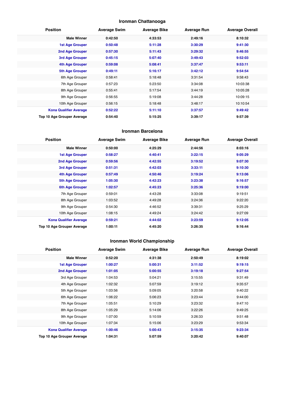## **Ironman Chattanooga**

| <b>Position</b>               | <b>Average Swim</b> | <b>Average Bike</b> | <b>Average Run</b> | <b>Average Overall</b> |
|-------------------------------|---------------------|---------------------|--------------------|------------------------|
| <b>Male Winner</b>            | 0:42:50             | 4:33:53             | 2:49:16            | 8:10:32                |
| <b>1st Age Grouper</b>        | 0:50:48             | 5:11:28             | 3:30:29            | 9:41:30                |
| 2nd Age Grouper               | 0:57:30             | 5:11:43             | 3:29:32            | 9:46:55                |
| 3rd Age Grouper               | 0:45:15             | 5:07:40             | 3:49:43            | 9:52:03                |
| 4th Age Grouper               | 0:59:08             | 5:08:41             | 3:37:47            | 9:53:11                |
| <b>5th Age Grouper</b>        | 0:49:11             | 5:16:17             | 3:42:12            | 9:54:54                |
| 6th Age Grouper               | 0:58:41             | 5:18:48             | 3:31:54            | 9:58:43                |
| 7th Age Grouper               | 0:57:23             | 5:23:50             | 3:34:08            | 10:03:38               |
| 8th Age Grouper               | 0:55:41             | 5:17:54             | 3:44:19            | 10:05:28               |
| 9th Age Grouper               | 0:56:55             | 5:19:08             | 3:44:28            | 10:09:15               |
| 10th Age Grouper              | 0:56:15             | 5:18:48             | 3:48:17            | 10:10:54               |
| <b>Kona Qualifier Average</b> | 0:52:22             | 5:11:10             | 3:37:57            | 9:49:42                |
| Top 10 Age Grouper Average    | 0:54:40             | 5:15:25             | 3:39:17            | 9:57:39                |

#### **Ironman Barcelona**

| <b>Position</b>               | <b>Average Swim</b> | <b>Average Bike</b> | <b>Average Run</b> | <b>Average Overall</b> |
|-------------------------------|---------------------|---------------------|--------------------|------------------------|
| <b>Male Winner</b>            | 0:50:00             | 4:25:29             | 2:44:56            | 8:03:16                |
| <b>1st Age Grouper</b>        | 0:58:27             | 4:40:41             | 3:22:15            | 9:05:29                |
| 2nd Age Grouper               | 0:59:56             | 4:42:55             | 3:19:52            | 9:07:30                |
| 3rd Age Grouper               | 0:51:31             | 4:42:03             | 3:33:11            | 9:10:30                |
| 4th Age Grouper               | 0:57:49             | 4:50:46             | 3:19:24            | 9:13:06                |
| 5th Age Grouper               | 1:05:30             | 4:42:23             | 3:23:38            | 9:16:57                |
| <b>6th Age Grouper</b>        | 1:02:57             | 4:45:23             | 3:25:36            | 9:19:00                |
| 7th Age Grouper               | 0:59:01             | 4:43:28             | 3:33:08            | 9:19:51                |
| 8th Age Grouper               | 1:03:52             | 4:49:28             | 3:24:36            | 9:22:20                |
| 9th Age Grouper               | 0:54:30             | 4:46:52             | 3:39:31            | 9:25:29                |
| 10th Age Grouper              | 1:08:15             | 4:49:24             | 3:24:42            | 9:27:09                |
| <b>Kona Qualifier Average</b> | 0:59:21             | 4:44:02             | 3:23:59            | 9:12:05                |
| Top 10 Age Grouper Average    | 1:00:11             | 4:45:20             | 3:26:35            | 9:16:44                |

## **Ironman World Championship**

| <b>Position</b>               | <b>Average Swim</b> | <b>Average Bike</b> | <b>Average Run</b> | <b>Average Overall</b> |
|-------------------------------|---------------------|---------------------|--------------------|------------------------|
| <b>Male Winner</b>            | 0:52:20             | 4:31:38             | 2:50:49            | 8:19:02                |
| <b>1st Age Grouper</b>        | 1:00:27             | 5:00:31             | 3:11:52            | 9:19:15                |
| <b>2nd Age Grouper</b>        | 1:01:05             | 5:00:55             | 3:19:18            | 9:27:54                |
| 3rd Age Grouper               | 1:04:53             | 5:04:21             | 3:15:55            | 9:31:49                |
| 4th Age Grouper               | 1:02:32             | 5:07:59             | 3:19:12            | 9:35:57                |
| 5th Age Grouper               | 1:03:56             | 5:09:05             | 3:20:58            | 9:40:22                |
| 6th Age Grouper               | 1:06:22             | 5:06:23             | 3:23:44            | 9:44:00                |
| 7th Age Grouper               | 1:05:51             | 5:10:29             | 3:23:32            | 9:47:10                |
| 8th Age Grouper               | 1:05:29             | 5:14:06             | 3:22:26            | 9:49:25                |
| 9th Age Grouper               | 1:07:00             | 5:10:59             | 3:26:33            | 9:51:48                |
| 10th Age Grouper              | 1:07:34             | 5:15:06             | 3:23:29            | 9:53:34                |
| <b>Kona Qualifier Average</b> | 1:00:46             | 5:00:43             | 3:15:35            | 9:23:34                |
| Top 10 Age Grouper Average    | 1:04:31             | 5:07:59             | 3:20:42            | 9:40:07                |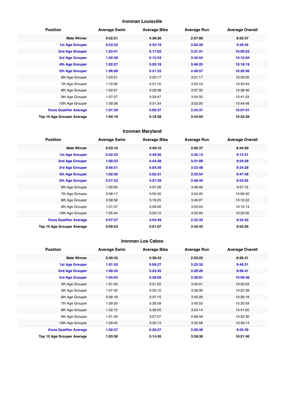## **Ironman Louisville**

| <b>Position</b>               | <b>Average Swim</b> | <b>Average Bike</b> | <b>Average Run</b> | <b>Average Overall</b> |
|-------------------------------|---------------------|---------------------|--------------------|------------------------|
| <b>Male Winner</b>            | 0:52:21             | 4:38:36             | 2:57:00            | 8:32:37                |
| <b>1st Age Grouper</b>        | 0:53:32             | 4:33:19             | 3:02:28            | 9:39:45                |
| <b>2nd Age Grouper</b>        | 1:03:41             | 5:17:03             | 3:31:21            | 10:00:53               |
| <b>3rd Age Grouper</b>        | 1:02:28             | 5:15:53             | 3:42:54            | 10:10:04               |
| 4th Age Grouper               | 1:02:27             | 5:20:18             | 3:46:25            | 10:18:19               |
| <b>5th Age Grouper</b>        | 1:06:08             | 5:21:33             | 3:49:57            | 10:26:06               |
| 6th Age Grouper               | 1:03:51             | 5:25:17             | 3:51:17            | 10:30:05               |
| 7th Age Grouper               | 1:10:30             | 5:21:16             | 3:52:10            | 10:33:43               |
| 8th Age Grouper               | 1:02:51             | 5:28:38             | 3:57:32            | 10:38:46               |
| 9th Age Grouper               | 1:07:57             | 5:29:47             | 3:54:32            | 10:41:53               |
| 10th Age Grouper              | 1:09:38             | 5:31:34             | 3:52:00            | 10:44:48               |
| <b>Kona Qualifier Average</b> | 1:01:39             | 5:09:37             | 3:34:37            | 10:07:01               |
| Top 10 Age Grouper Average    | 1:04:18             | 5:18:28             | 3:44:04            | 10:22:26               |

## **Ironman Maryland**

| <b>Position</b>               | <b>Average Swim</b> | <b>Average Bike</b> | <b>Average Run</b> | <b>Average Overall</b> |
|-------------------------------|---------------------|---------------------|--------------------|------------------------|
| <b>Male Winner</b>            | 0:53:10             | 4:40:10             | 3:05:37            | 8:44:50                |
| <b>1st Age Grouper</b>        | 0:52:33             | 4:49:36             | 3:25:13            | 9:14:31                |
| 2nd Age Grouper               | 1:00:33             | 4:44:48             | 3:31:09            | 9:24:29                |
| 3rd Age Grouper               | 0:56:51             | 5:04:39             | 3:23:48            | 9:34:28                |
| 4th Age Grouper               | 1:02:26             | 5:02:31             | 3:33:54            | 9:47:48                |
| <b>5th Age Grouper</b>        | 0:57:22             | 4:57:29             | 3:48:40            | 9:53:05                |
| 6th Age Grouper               | 1:00:00             | 4:57:26             | 3:48:46            | 9:57:16                |
| 7th Age Grouper               | 0:58:17             | 5:05:40             | 3:54:35            | 10:06:40               |
| 8th Age Grouper               | 0:58:58             | 5:16:25             | 3:46:07            | 10:10:22               |
| 9th Age Grouper               | 1:01:07             | 5:09:26             | 3:53:03            | 10:12:14               |
| 10th Age Grouper              | 1:05:44             | 5:03:12             | 4:02:00            | 10:20:00               |
| <b>Kona Qualifier Average</b> | 0:57:57             | 4:55:49             | 3:32:33            | 9:34:52                |
| Top 10 Age Grouper Average    | 0:59:23             | 5:01:07             | 3:42:43            | 9:52:05                |

#### **Ironman Los Cabos**

| <b>Position</b>               | <b>Average Swim</b> | <b>Average Bike</b> | <b>Average Run</b> | <b>Average Overall</b> |
|-------------------------------|---------------------|---------------------|--------------------|------------------------|
| <b>Male Winner</b>            | 0:50:33             | 4:38:43             | 2:53:22            | 8:26:31                |
| <b>1st Age Grouper</b>        | 1:01:52             | 5:08:27             | 3:23:32            | 9:40:31                |
| 2nd Age Grouper               | 1:00:34             | 5:24:45             | 3:26:20            | 9:56:41                |
| 3rd Age Grouper               | 1:04:55             | 5:28:09             | 3:30:01            | 10:09:46               |
| 4th Age Grouper               | 1:01:43             | 5:31:22             | 3:40:01            | 10:20:03               |
| 5th Age Grouper               | 1:07:25             | 5:30:10             | 3:38:39            | 10:22:38               |
| 6th Age Grouper               | 0:56:18             | 5:37:15             | 3:45:39            | 10:26:19               |
| 7th Age Grouper               | 1:09:35             | 5:26:59             | 3:45:50            | 10:30:59               |
| 8th Age Grouper               | 1:02:15             | 5:38:05             | 3:54:14            | 10:41:05               |
| 9th Age Grouper               | 1:01:40             | 3:07:07             | 6:58:48            | 10:42:30               |
| 10th Age Grouper              | 1:09:45             | 5:35:13             | 3:52:58            | 10:46:14               |
| <b>Kona Qualifier Average</b> | 1:02:27             | 5:20:27             | 3:26:38            | 9:55:39                |
| Top 10 Age Grouper Average    | 1:03:36             | 5:14:45             | 3:59:36            | 10:21:40               |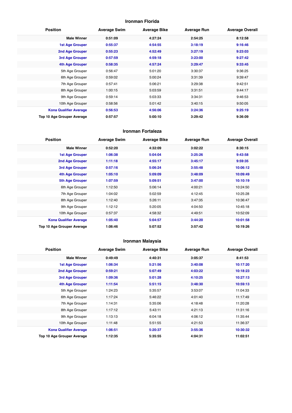## **Ironman Florida**

| <b>Position</b>               | <b>Average Swim</b> | <b>Average Bike</b> | <b>Average Run</b> | <b>Average Overall</b> |
|-------------------------------|---------------------|---------------------|--------------------|------------------------|
| <b>Male Winner</b>            | 0:51:09             | 4:27:24             | 2:54:25            | 8:12:58                |
| <b>1st Age Grouper</b>        | 0:55:37             | 4:54:55             | 3:18:19            | 9:16:46                |
| <b>2nd Age Grouper</b>        | 0:55:23             | 4:52:49             | 3:27:19            | 9:23:03                |
| 3rd Age Grouper               | 0:57:59             | 4:59:18             | 3:23:00            | 9:27:42                |
| 4th Age Grouper               | 0:58:35             | 4:57:24             | 3:29:47            | 9:33:45                |
| 5th Age Grouper               | 0:56:47             | 5:01:20             | 3:30:37            | 9:36:25                |
| 6th Age Grouper               | 0:59:02             | 5:00:24             | 3:31:39            | 9:39:47                |
| 7th Age Grouper               | 0:57:41             | 5:06:21             | 3:29:38            | 9:42:51                |
| 8th Age Grouper               | 1:00:15             | 5:03:59             | 3:31:51            | 9:44:17                |
| 9th Age Grouper               | 0:59:14             | 5:03:33             | 3:34:31            | 9:46:53                |
| 10th Age Grouper              | 0:58:56             | 5:01:42             | 3:40:15            | 9:50:05                |
| <b>Kona Qualifier Average</b> | 0:56:53             | 4:56:06             | 3:24:36            | 9:25:19                |
| Top 10 Age Grouper Average    | 0:57:57             | 5:00:10             | 3:29:42            | 9:36:09                |

#### **Ironman Fortaleza**

| <b>Position</b>                   | <b>Average Swim</b> | <b>Average Bike</b> | <b>Average Run</b> | <b>Average Overall</b> |
|-----------------------------------|---------------------|---------------------|--------------------|------------------------|
| <b>Male Winner</b>                | 0:52:20             | 4:32:09             | 3:02:22            | 8:30:15                |
| <b>1st Age Grouper</b>            | 1:06:38             | 5:04:04             | 3:25:26            | 9:43:58                |
| 2nd Age Grouper                   | 1:11:18             | 4:55:17             | 3:45:17            | 9:59:35                |
| 3rd Age Grouper                   | 0:57:16             | 5:06:24             | 3:55:48            | 10:06:12               |
| 4th Age Grouper                   | 1:05:10             | 5:09:09             | 3:48:09            | 10:09:49               |
| 5th Age Grouper                   | 1:07:59             | 5:09:51             | 3:47:00            | 10:10:19               |
| 6th Age Grouper                   | 1:12:50             | 5:06:14             | 4:00:21            | 10:24:50               |
| 7th Age Grouper                   | 1:04:02             | 5:02:59             | 4:12:45            | 10:25:28               |
| 8th Age Grouper                   | 1:12:40             | 5:26:11             | 3:47:35            | 10:36:47               |
| 9th Age Grouper                   | 1:12:12             | 5:20:05             | 4:04:50            | 10:45:18               |
| 10th Age Grouper                  | 0:57:37             | 4:58:32             | 4:49:51            | 10:52:09               |
| <b>Kona Qualifier Average</b>     | 1:05:40             | 5:04:57             | 3:44:20            | 10:01:58               |
| <b>Top 10 Age Grouper Average</b> | 1:06:46             | 5:07:52             | 3:57:42            | 10:19:26               |

## **Ironman Malaysia**

| <b>Position</b>               | <b>Average Swim</b> | <b>Average Bike</b> | <b>Average Run</b> | <b>Average Overall</b> |
|-------------------------------|---------------------|---------------------|--------------------|------------------------|
| <b>Male Winner</b>            | 0:49:49             | 4:40:31             | 3:05:37            | 8:41:53                |
| <b>1st Age Grouper</b>        | 1:06:34             | 5:21:56             | 3:40:08            | 10:17:20               |
| 2nd Age Grouper               | 0:59:21             | 5:07:49             | 4:03:22            | 10:18:23               |
| 3rd Age Grouper               | 1:09:36             | 5:01:28             | 4:10:25            | 10:27:13               |
| 4th Age Grouper               | 1:11:54             | 5:51:15             | 3:48:30            | 10:59:13               |
| 5th Age Grouper               | 1:24:23             | 5:35:57             | 3:53:07            | 11:04:33               |
| 6th Age Grouper               | 1:17:24             | 5:46:22             | 4:01:40            | 11:17:49               |
| 7th Age Grouper               | 1:14:31             | 5:35:06             | 4:18:48            | 11:20:28               |
| 8th Age Grouper               | 1:17:12             | 5:43:11             | 4:21:13            | 11:31:16               |
| 9th Age Grouper               | 1:13:13             | 6:04:18             | 4:06:12            | 11:35:44               |
| 10th Age Grouper              | 1:11:48             | 5:51:55             | 4:21:53            | 11:36:37               |
| <b>Kona Qualifier Average</b> | 1:06:51             | 5:20:37             | 3:55:36            | 10:30:32               |
| Top 10 Age Grouper Average    | 1:12:35             | 5:35:55             | 4:04:31            | 11:02:51               |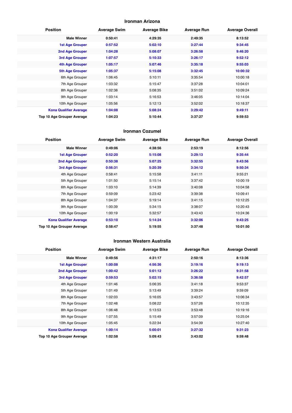#### **Ironman Arizona**

| <b>Position</b>               | <b>Average Swim</b> | <b>Average Bike</b> | <b>Average Run</b> | <b>Average Overall</b> |
|-------------------------------|---------------------|---------------------|--------------------|------------------------|
| <b>Male Winner</b>            | 0:50:41             | 4:29:35             | 2:49:35            | 8:13:52                |
| <b>1st Age Grouper</b>        | 0:57:52             | 5:02:10             | 3:27:44            | 9:34:45                |
| <b>2nd Age Grouper</b>        | 1:04:28             | 5:08:07             | 3:26:58            | 9:46:20                |
| <b>3rd Age Grouper</b>        | 1:07:57             | 5:10:33             | 3:26:17            | 9:52:12                |
| 4th Age Grouper               | 1:05:17             | 5:07:46             | 3:35:18            | 9:55:03                |
| <b>5th Age Grouper</b>        | 1:05:37             | 5:15:08             | 3:32:45            | 10:00:32               |
| 6th Age Grouper               | 1:06:45             | 5:10:11             | 3:35:54            | 10:00:18               |
| 7th Age Grouper               | 1:03:32             | 5:15:47             | 3:37:28            | 10:04:01               |
| 8th Age Grouper               | 1:02:38             | 5:08:35             | 3:51:02            | 10:09:24               |
| 9th Age Grouper               | 1:03:14             | 5:16:53             | 3:46:05            | 10:14:04               |
| 10th Age Grouper              | 1:05:56             | 5:12:13             | 3:52:02            | 10:18:37               |
| <b>Kona Qualifier Average</b> | 1:04:08             | 5:08:24             | 3:29:42            | 9:49:11                |
| Top 10 Age Grouper Average    | 1:04:23             | 5:10:44             | 3:37:27            | 9:59:53                |

#### **Ironman Cozumel**

| <b>Position</b>               | <b>Average Swim</b> | <b>Average Bike</b> | <b>Average Run</b> | <b>Average Overall</b> |
|-------------------------------|---------------------|---------------------|--------------------|------------------------|
| <b>Male Winner</b>            | 0:49:06             | 4:38:56             | 2:53:19            | 8:12:56                |
| <b>1st Age Grouper</b>        | 0:52:20             | 5:15:08             | 3:29:13            | 9:35:44                |
| 2nd Age Grouper               | 0:50:38             | 5:07:25             | 3:32:55            | 9:43:56                |
| 3rd Age Grouper               | 0:56:31             | 5:20:39             | 3:34:12            | 9:50:34                |
| 4th Age Grouper               | 0:58:41             | 5:15:58             | 3:41:11            | 9:55:21                |
| 5th Age Grouper               | 1:01:50             | 5:15:14             | 3:37:42            | 10:00:19               |
| 6th Age Grouper               | 1:03:10             | 5:14:39             | 3:40:08            | 10:04:58               |
| 7th Age Grouper               | 0:59:09             | 5:23:42             | 3:39:38            | 10:09:41               |
| 8th Age Grouper               | 1:04:37             | 5:19:14             | 3:41:15            | 10:12:25               |
| 9th Age Grouper               | 1:00:39             | 5:34:15             | 3:38:07            | 10:20:43               |
| 10th Age Grouper              | 1:00:19             | 5:32:57             | 3:43:43            | 10:24:36               |
| <b>Kona Qualifier Average</b> | 0:53:10             | 5:14:24             | 3:32:06            | 9:43:25                |
| Top 10 Age Grouper Average    | 0:58:47             | 5:19:55             | 3:37:48            | 10:01:50               |

#### **Ironman Western Australia**

| <b>Position</b>               | <b>Average Swim</b> | <b>Average Bike</b> | <b>Average Run</b> | <b>Average Overall</b> |
|-------------------------------|---------------------|---------------------|--------------------|------------------------|
| <b>Male Winner</b>            | 0:49:56             | 4:31:17             | 2:50:16            | 8:13:36                |
| <b>1st Age Grouper</b>        | 1:00:08             | 4:56:36             | 3:19:16            | 9:19:13                |
| <b>2nd Age Grouper</b>        | 1:00:42             | 5:01:12             | 3:26:22            | 9:31:58                |
| 3rd Age Grouper               | 0:59:53             | 5:02:15             | 3:36:58            | 9:42:57                |
| 4th Age Grouper               | 1:01:46             | 5:06:35             | 3:41:18            | 9:53:37                |
| 5th Age Grouper               | 1:01:49             | 5:13:49             | 3:39:24            | 9:59:09                |
| 6th Age Grouper               | 1:02:03             | 5:16:05             | 3:43:57            | 10:06:34               |
| 7th Age Grouper               | 1:02:48             | 5:08:22             | 3:57:26            | 10:12:35               |
| 8th Age Grouper               | 1:06:48             | 5:13:53             | 3:53:48            | 10:19:16               |
| 9th Age Grouper               | 1:07:55             | 5:15:49             | 3:57:09            | 10:25:04               |
| 10th Age Grouper              | 1:05:45             | 5:22:34             | 3:54:39            | 10:27:40               |
| <b>Kona Qualifier Average</b> | 1:00:14             | 5:00:01             | 3:27:32            | 9:31:23                |
| Top 10 Age Grouper Average    | 1:02:58             | 5:09:43             | 3:43:02            | 9:59:48                |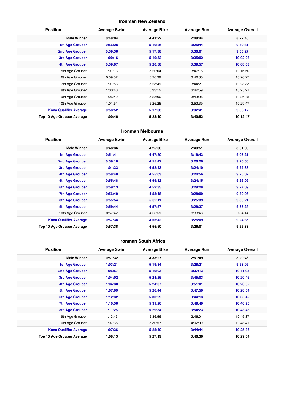## **Ironman New Zealand**

| <b>Position</b>               | <b>Average Swim</b> | <b>Average Bike</b> | <b>Average Run</b> | <b>Average Overall</b> |
|-------------------------------|---------------------|---------------------|--------------------|------------------------|
| <b>Male Winner</b>            | 0:48:04             | 4:41:22             | 2:48:44            | 8:22:46                |
| <b>1st Age Grouper</b>        | 0:56:28             | 5:10:26             | 3:25:44            | 9:39:31                |
| 2nd Age Grouper               | 0:59:36             | 5:17:38             | 3:30:01            | 9:55:27                |
| <b>3rd Age Grouper</b>        | 1:00:16             | 5:19:32             | 3:35:02            | 10:02:08               |
| 4th Age Grouper               | 0:59:07             | 5:20:58             | 3:39:57            | 10:08:03               |
| 5th Age Grouper               | 1:01:13             | 5:20:04             | 3:47:16            | 10:16:50               |
| 6th Age Grouper               | 0:59:52             | 5:26:39             | 3:46:35            | 10:20:27               |
| 7th Age Grouper               | 1:01:53             | 5:28:49             | 3:44:21            | 10:23:33               |
| 8th Age Grouper               | 1:00:40             | 5:33:12             | 3:42:59            | 10:25:21               |
| 9th Age Grouper               | 1:06:42             | 5:28:00             | 3:43:06            | 10:26:45               |
| 10th Age Grouper              | 1:01:51             | 5:26:25             | 3:53:39            | 10:29:47               |
| <b>Kona Qualifier Average</b> | 0:58:52             | 5:17:08             | 3:32:41            | 9:56:17                |
| Top 10 Age Grouper Average    | 1:00:46             | 5:23:10             | 3:40:52            | 10:12:47               |

#### **Ironman Melbourne**

| <b>Position</b>               | <b>Average Swim</b> | <b>Average Bike</b> | <b>Average Run</b> | <b>Average Overall</b> |
|-------------------------------|---------------------|---------------------|--------------------|------------------------|
| <b>Male Winner</b>            | 0:48:36             | 4:25:06             | 2:43:51            | 8:01:05                |
| <b>1st Age Grouper</b>        | 0:51:41             | 4:47:20             | 3:19:43            | 9:03:21                |
| 2nd Age Grouper               | 0:59:18             | 4:55:42             | 3:20:26            | 9:20:56                |
| <b>3rd Age Grouper</b>        | 1:01:33             | 4:52:43             | 3:24:10            | 9:24:38                |
| 4th Age Grouper               | 0:58:48             | 4:55:03             | 3:24:56            | 9:25:07                |
| <b>5th Age Grouper</b>        | 0:55:48             | 4:59:32             | 3:24:15            | 9:26:09                |
| <b>6th Age Grouper</b>        | 0:59:13             | 4:52:35             | 3:29:28            | 9:27:09                |
| <b>7th Age Grouper</b>        | 0:56:40             | 4:58:18             | 3:28:09            | 9:30:06                |
| <b>8th Age Grouper</b>        | 0:55:54             | 5:02:11             | 3:25:39            | 9:30:21                |
| 9th Age Grouper               | 0:59:44             | 4:57:57             | 3:29:37            | 9:33:29                |
| 10th Age Grouper              | 0:57:42             | 4:56:59             | 3:33:46            | 9:34:14                |
| <b>Kona Qualifier Average</b> | 0:57:38             | 4:55:42             | 3:25:09            | 9:24:35                |
| Top 10 Age Grouper Average    | 0:57:38             | 4:55:50             | 3:26:01            | 9:25:33                |

#### **Ironman South Africa**

| <b>Position</b>               | <b>Average Swim</b> | <b>Average Bike</b> | <b>Average Run</b> | <b>Average Overall</b> |
|-------------------------------|---------------------|---------------------|--------------------|------------------------|
| <b>Male Winner</b>            | 0:51:32             | 4:33:27             | 2:51:49            | 8:20:46                |
| <b>1st Age Grouper</b>        | 1:03:21             | 5:19:34             | 3:28:21            | 9:58:05                |
| <b>2nd Age Grouper</b>        | 1:06:57             | 5:19:03             | 3:37:13            | 10:11:08               |
| 3rd Age Grouper               | 1:04:02             | 5:24:25             | 3:45:03            | 10:20:46               |
| <b>4th Age Grouper</b>        | 1:04:30             | 5:24:07             | 3:51:01            | 10:26:02               |
| <b>5th Age Grouper</b>        | 1:07:09             | 5:26:44             | 3:47:50            | 10:28:54               |
| <b>6th Age Grouper</b>        | 1:12:32             | 5:30:29             | 3:44:13            | 10:35:42               |
| <b>7th Age Grouper</b>        | 1:10:56             | 5:31:26             | 3:49:49            | 10:40:25               |
| <b>8th Age Grouper</b>        | 1:11:25             | 5:29:34             | 3:54:23            | 10:43:43               |
| 9th Age Grouper               | 1:13:43             | 5:36:56             | 3:46:01            | 10:45:37               |
| 10th Age Grouper              | 1:07:36             | 5:30:57             | 4:02:09            | 10:48:41               |
| <b>Kona Qualifier Average</b> | 1:07:36             | 5:25:40             | 3:44:44            | 10:25:36               |
| Top 10 Age Grouper Average    | 1:08:13             | 5:27:19             | 3:46:36            | 10:29:54               |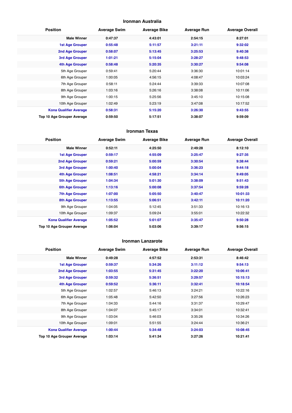#### **Ironman Australia**

| <b>Position</b>               | <b>Average Swim</b> | <b>Average Bike</b> | <b>Average Run</b> | <b>Average Overall</b> |
|-------------------------------|---------------------|---------------------|--------------------|------------------------|
| <b>Male Winner</b>            | 0:47:37             | 4:43:01             | 2:54:15            | 8:27:01                |
| <b>1st Age Grouper</b>        | 0:55:48             | 5:11:57             | 3:21:11            | 9:32:02                |
| <b>2nd Age Grouper</b>        | 0:58:07             | 5:13:45             | 3:25:53            | 9:40:38                |
| 3rd Age Grouper               | 1:01:21             | 5:15:04             | 3:28:27            | 9:48:53                |
| 4th Age Grouper               | 0:58:48             | 5:20:35             | 3:30:27            | 9:54:08                |
| 5th Age Grouper               | 0:59:41             | 5:20:44             | 3:36:30            | 10:01:14               |
| 6th Age Grouper               | 1:00:05             | 4:56:15             | 4:08:47            | 10:03:24               |
| 7th Age Grouper               | 0:58:11             | 5:24:44             | 3:39:33            | 10:07:08               |
| 8th Age Grouper               | 1:03:16             | 5:26:16             | 3:38:08            | 10:11:06               |
| 9th Age Grouper               | 1:00:15             | 5:25:56             | 3:45:10            | 10:15:08               |
| 10th Age Grouper              | 1:02:49             | 5:23:19             | 3:47:08            | 10:17:52               |
| <b>Kona Qualifier Average</b> | 0:58:31             | 5:15:20             | 3:26:30            | 9:43:55                |
| Top 10 Age Grouper Average    | 0:59:50             | 5:17:51             | 3:38:07            | 9:59:09                |

#### **Ironman Texas**

| <b>Position</b>               | <b>Average Swim</b> | <b>Average Bike</b> | <b>Average Run</b> | <b>Average Overall</b> |
|-------------------------------|---------------------|---------------------|--------------------|------------------------|
| <b>Male Winner</b>            | 0:52:11             | 4:25:50             | 2:49:28            | 8:12:10                |
| <b>1st Age Grouper</b>        | 0:59:17             | 4:55:09             | 3:25:47            | 9:27:35                |
| 2nd Age Grouper               | 0:59:21             | 5:00:59             | 3:30:54            | 9:38:44                |
| 3rd Age Grouper               | 1:00:40             | 5:00:04             | 3:36:23            | 9:44:18                |
| 4th Age Grouper               | 1:08:51             | 4:58:21             | 3:34:14            | 9:49:05                |
| 5th Age Grouper               | 1:04:34             | 5:01:30             | 3:38:09            | 9:51:43                |
| <b>6th Age Grouper</b>        | 1:13:16             | 5:00:08             | 3:37:54            | 9:59:28                |
| <b>7th Age Grouper</b>        | 1:07:00             | 5:05:50             | 3:40:47            | 10:01:33               |
| <b>8th Age Grouper</b>        | 1:13:55             | 5:06:51             | 3:42:11            | 10:11:20               |
| 9th Age Grouper               | 1:04:05             | 5:12:45             | 3:51:33            | 10:16:13               |
| 10th Age Grouper              | 1:09:37             | 5:09:24             | 3:55:01            | 10:22:32               |
| <b>Kona Qualifier Average</b> | 1:05:52             | 5:01:07             | 3:35:47            | 9:50:28                |
| Top 10 Age Grouper Average    | 1:06:04             | 5:03:06             | 3:39:17            | 9:56:15                |

#### **Ironman Lanzarote**

| <b>Position</b>               | <b>Average Swim</b> | <b>Average Bike</b> | <b>Average Run</b> | <b>Average Overall</b> |
|-------------------------------|---------------------|---------------------|--------------------|------------------------|
| <b>Male Winner</b>            | 0:49:28             | 4:57:52             | 2:53:31            | 8:46:42                |
| <b>1st Age Grouper</b>        | 0:59:37             | 5:34:26             | 3:11:12            | 9:54:13                |
| <b>2nd Age Grouper</b>        | 1:03:55             | 5:31:45             | 3:22:20            | 10:06:41               |
| 3rd Age Grouper               | 0:59:32             | 5:36:51             | 3:29:57            | 10:15:13               |
| <b>4th Age Grouper</b>        | 0:59:52             | 5:36:11             | 3:32:41            | 10:18:54               |
| 5th Age Grouper               | 1:02:57             | 5:46:13             | 3:24:21            | 10:22:16               |
| 6th Age Grouper               | 1:05:48             | 5:42:50             | 3:27:56            | 10:26:23               |
| 7th Age Grouper               | 1:04:33             | 5:44:16             | 3:31:37            | 10:29:47               |
| 8th Age Grouper               | 1:04:07             | 5:45:17             | 3:34:01            | 10:32:41               |
| 9th Age Grouper               | 1:03:04             | 5:46:03             | 3:35:26            | 10:34:26               |
| 10th Age Grouper              | 1:09:01             | 5:51:55             | 3:24:44            | 10:36:21               |
| <b>Kona Qualifier Average</b> | 1:00:44             | 5:34:48             | 3:24:03            | 10:08:45               |
| Top 10 Age Grouper Average    | 1:03:14             | 5:41:34             | 3:27:26            | 10:21:41               |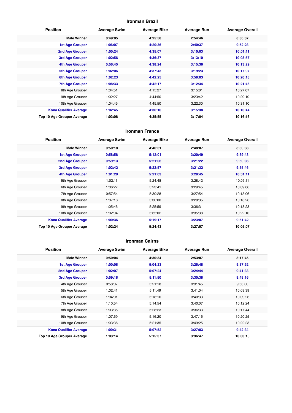## **Ironman Brazil**

| <b>Position</b>               | <b>Average Swim</b> | <b>Average Bike</b> | <b>Average Run</b> | <b>Average Overall</b> |
|-------------------------------|---------------------|---------------------|--------------------|------------------------|
| <b>Male Winner</b>            | 0:49:05             | 4:25:58             | 2:54:46            | 8:36:37                |
| <b>1st Age Grouper</b>        | 1:06:07             | 4:20:36             | 2:40:37            | 9:52:23                |
| <b>2nd Age Grouper</b>        | 1:00:24             | 4:35:07             | 3:10:03            | 10:01:11               |
| 3rd Age Grouper               | 1:02:56             | 4:36:37             | 3:13:10            | 10:08:57               |
| 4th Age Grouper               | 0:56:45             | 4:38:24             | 3:15:36            | 10:13:29               |
| <b>5th Age Grouper</b>        | 1:02:06             | 4:37:43             | 3:19:23            | 10:17:07               |
| 6th Age Grouper               | 1:02:23             | 4:42:25             | 3:58:03            | 10:20:18               |
| <b>7th Age Grouper</b>        | 1:08:33             | 4:42:17             | 3:12:34            | 10:21:46               |
| 8th Age Grouper               | 1:04:51             | 4:15:27             | 3:15:01            | 10:27:07               |
| 9th Age Grouper               | 1:02:27             | 4:44:50             | 3:23:42            | 10:29:10               |
| 10th Age Grouper              | 1:04:45             | 4:45:50             | 3:22:30            | 10:31:10               |
| <b>Kona Qualifier Average</b> | 1:02:45             | 4:36:10             | 3:15:38            | 10:10:44               |
| Top 10 Age Grouper Average    | 1:03:08             | 4:35:55             | 3:17:04            | 10:16:16               |

#### **Ironman France**

| <b>Position</b>               | <b>Average Swim</b> | <b>Average Bike</b> | <b>Average Run</b> | <b>Average Overall</b> |
|-------------------------------|---------------------|---------------------|--------------------|------------------------|
| <b>Male Winner</b>            | 0:50:18             | 4:46:51             | 2:48:07            | 8:30:38                |
| <b>1st Age Grouper</b>        | 0:58:58             | 5:12:01             | 3:20:49            | 9:39:43                |
| 2nd Age Grouper               | 0:59:13             | 5:21:06             | 3:21:22            | 9:50:08                |
| 3rd Age Grouper               | 1:02:42             | 5:22:57             | 3:21:32            | 9:55:46                |
| 4th Age Grouper               | 1:01:29             | 5:21:03             | 3:28:45            | 10:01:11               |
| 5th Age Grouper               | 1:02:11             | 5:24:48             | 3:28:42            | 10:05:11               |
| 6th Age Grouper               | 1:06:27             | 5:23:41             | 3:29:45            | 10:09:06               |
| 7th Age Grouper               | 0:57:54             | 5:30:28             | 3:27:54            | 10:13:06               |
| 8th Age Grouper               | 1:07:16             | 5:30:00             | 3:28:35            | 10:16:26               |
| 9th Age Grouper               | 1:05:46             | 5:25:59             | 3:36:31            | 10:18:23               |
| 10th Age Grouper              | 1:02:04             | 5:35:02             | 3:35:38            | 10:22:10               |
| <b>Kona Qualifier Average</b> | 1:00:36             | 5:19:17             | 3:23:07            | 9:51:42                |
| Top 10 Age Grouper Average    | 1:02:24             | 5:24:43             | 3:27:57            | 10:05:07               |

#### **Ironman Cairns**

| <b>Position</b>               | <b>Average Swim</b> | <b>Average Bike</b> | <b>Average Run</b> | <b>Average Overall</b> |
|-------------------------------|---------------------|---------------------|--------------------|------------------------|
| <b>Male Winner</b>            | 0:50:04             | 4:30:34             | 2:53:07            | 8:17:45                |
| <b>1st Age Grouper</b>        | 1:00:08             | 5:04:23             | 3:25:48            | 9:37:52                |
| <b>2nd Age Grouper</b>        | 1:02:07             | 5:07:24             | 3:24:44            | 9:41:33                |
| 3rd Age Grouper               | 0:59:18             | 5:11:50             | 3:30:38            | 9:48:16                |
| 4th Age Grouper               | 0:58:07             | 5:21:18             | 3:31:45            | 9:58:00                |
| 5th Age Grouper               | 1:02:41             | 5:11:49             | 3:41:04            | 10:03:39               |
| 6th Age Grouper               | 1:04:01             | 5:18:10             | 3:40:33            | 10:09:26               |
| 7th Age Grouper               | 1:10:54             | 5:14:54             | 3:40:07            | 10:12:24               |
| 8th Age Grouper               | 1:03:35             | 5:28:23             | 3:36:33            | 10:17:44               |
| 9th Age Grouper               | 1:07:59             | 5:16:20             | 3:47:15            | 10:20:25               |
| 10th Age Grouper              | 1:03:36             | 5:21:35             | 3:49:25            | 10:22:23               |
| <b>Kona Qualifier Average</b> | 1:00:31             | 5:07:52             | 3:27:03            | 9:42:34                |
| Top 10 Age Grouper Average    | 1:03:14             | 5:15:37             | 3:36:47            | 10:03:10               |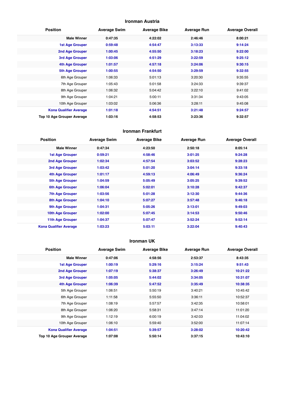## **Ironman Austria**

| <b>Position</b>               | <b>Average Swim</b> | <b>Average Bike</b> | <b>Average Run</b> | <b>Average Overall</b> |
|-------------------------------|---------------------|---------------------|--------------------|------------------------|
| <b>Male Winner</b>            | 0:47:35             | 4:22:02             | 2:46:46            | 8:00:21                |
| <b>1st Age Grouper</b>        | 0:59:48             | 4:54:47             | 3:13:33            | 9:14:24                |
| 2nd Age Grouper               | 1:00:45             | 4:55:50             | 3:18:23            | 9:22:00                |
| 3rd Age Grouper               | 1:03:06             | 4:51:29             | 3:22:59            | 9:25:12                |
| 4th Age Grouper               | 1:01:57             | 4:57:18             | 3:24:06            | 9:30:15                |
| 5th Age Grouper               | 1:00:55             | 4:54:50             | 3:29:59            | 9:32:55                |
| 6th Age Grouper               | 1:06:33             | 5:01:13             | 3:20:30            | 9:35:55                |
| 7th Age Grouper               | 1:05:43             | 5:01:58             | 3:24:33            | 9:39:37                |
| 8th Age Grouper               | 1:06:32             | 5:04:42             | 3:22:10            | 9:41:02                |
| 9th Age Grouper               | 1:04:21             | 5:00:11             | 3:31:34            | 9:43:05                |
| 10th Age Grouper              | 1:03:02             | 5:06:36             | 3:28:11            | 9:45:08                |
| <b>Kona Qualifier Average</b> | 1:01:18             | 4:54:51             | 3:21:48            | 9:24:57                |
| Top 10 Age Grouper Average    | 1:03:16             | 4:58:53             | 3:23:36            | 9:32:57                |

#### **Ironman Frankfurt**

| <b>Position</b>               | <b>Average Swim</b> | <b>Average Bike</b> | <b>Average Run</b> | <b>Average Overall</b> |
|-------------------------------|---------------------|---------------------|--------------------|------------------------|
| <b>Male Winner</b>            | 0:47:34             | 4:23:50             | 2:50:18            | 8:05:14                |
| <b>1st Age Grouper</b>        | 0:59:21             | 4:58:46             | 3:01:25            | 9:24:28                |
| <b>2nd Age Grouper</b>        | 1:02:34             | 4:57:54             | 3:03:52            | 9:28:23                |
| 3rd Age Grouper               | 1:03:42             | 5:01:20             | 3:04:14            | 9:33:18                |
| 4th Age Grouper               | 1:01:17             | 4:59:13             | 4:06:49            | 9:36:24                |
| 5th Age Grouper               | 1:04:59             | 5:05:49             | 3:05:25            | 9:39:52                |
| <b>6th Age Grouper</b>        | 1:06:04             | 5:02:01             | 3:10:28            | 9:42:37                |
| <b>7th Age Grouper</b>        | 1:03:56             | 5:01:28             | 3:12:30            | 9:44:36                |
| <b>8th Age Grouper</b>        | 1:04:10             | 5:07:27             | 3:57:48            | 9:46:18                |
| 9th Age Grouper               | 1:04:31             | 5:05:26             | 3:13:01            | 9:49:03                |
| 10th Age Grouper              | 1:02:00             | 5:07:45             | 3:14:53            | 9:50:46                |
| 11th Age Grouper              | 1:04:37             | 5:07:47             | 3:52:24            | 9:52:14                |
| <b>Kona Qualifier Average</b> | 1:03:23             | 5:03:11             | 3:22:04            | 9:40:43                |

## **Ironman UK**

| <b>Position</b>               | <b>Average Swim</b> | <b>Average Bike</b> | <b>Average Run</b> | <b>Average Overall</b> |
|-------------------------------|---------------------|---------------------|--------------------|------------------------|
| <b>Male Winner</b>            | 0:47:06             | 4:58:56             | 2:53:37            | 8:43:35                |
| 1st Age Grouper               | 1:00:19             | 5:29:16             | 3:15:24            | 9:51:43                |
| 2nd Age Grouper               | 1:07:19             | 5:38:37             | 3:26:49            | 10:21:22               |
| 3rd Age Grouper               | 1:05:05             | 5:44:02             | 3:34:05            | 10:31:07               |
| 4th Age Grouper               | 1:06:39             | 5:47:52             | 3:35:49            | 10:38:35               |
| 5th Age Grouper               | 1:06:51             | 5:50:19             | 3:40:21            | 10:45:42               |
| 6th Age Grouper               | 1:11:58             | 5:55:50             | 3:36:11            | 10:52:37               |
| 7th Age Grouper               | 1:08:19             | 5:57:57             | 3:42:35            | 10:58:01               |
| 8th Age Grouper               | 1:06:20             | 5:58:31             | 3:47:14            | 11:01:20               |
| 9th Age Grouper               | 1:12:19             | 6:00:19             | 3:42:03            | 11:04:02               |
| 10th Age Grouper              | 1:06:10             | 5:59:40             | 3:52:00            | 11:07:14               |
| <b>Kona Qualifier Average</b> | 1:04:51             | 5:39:57             | 3:28:02            | 10:20:42               |
| Top 10 Age Grouper Average    | 1:07:08             | 5:50:14             | 3:37:15            | 10:43:10               |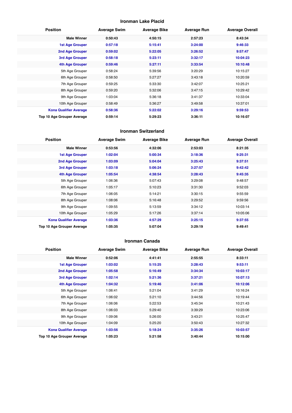## **Ironman Lake Placid**

| <b>Position</b>               | <b>Average Swim</b> | <b>Average Bike</b> | <b>Average Run</b> | <b>Average Overall</b> |
|-------------------------------|---------------------|---------------------|--------------------|------------------------|
| <b>Male Winner</b>            | 0:50:43             | 4:50:15             | 2:57:23            | 8:43:34                |
| <b>1st Age Grouper</b>        | 0:57:18             | 5:15:41             | 3:24:00            | 9:46:33                |
| 2nd Age Grouper               | 0:59:02             | 5:22:05             | 3:26:52            | 9:57:47                |
| <b>3rd Age Grouper</b>        | 0:58:18             | 5:23:11             | 3:32:17            | 10:04:23               |
| 4th Age Grouper               | 0:59:46             | 5:27:11             | 3:33:54            | 10:10:48               |
| 5th Age Grouper               | 0:58:24             | 5:39:56             | 3:20:29            | 10:15:27               |
| 6th Age Grouper               | 0:58:50             | 5:27:27             | 3:43:18            | 10:20:59               |
| 7th Age Grouper               | 0:59:25             | 5:33:30             | 3:42:07            | 10:25:21               |
| 8th Age Grouper               | 0:59:20             | 5:32:06             | 3:47:15            | 10:29:42               |
| 9th Age Grouper               | 1:03:04             | 5:36:18             | 3:41:37            | 10:33:04               |
| 10th Age Grouper              | 0:58:49             | 5:36:27             | 3:49:58            | 10:37:01               |
| <b>Kona Qualifier Average</b> | 0:58:36             | 5:22:02             | 3:29:16            | 9:59:53                |
| Top 10 Age Grouper Average    | 0:59:14             | 5:29:23             | 3:36:11            | 10:16:07               |

#### **Ironman Switzerland**

| <b>Position</b>               | <b>Average Swim</b> | <b>Average Bike</b> | <b>Average Run</b> | <b>Average Overall</b> |
|-------------------------------|---------------------|---------------------|--------------------|------------------------|
| <b>Male Winner</b>            | 0:53:56             | 4:32:06             | 2:53:03            | 8:21:35                |
| <b>1st Age Grouper</b>        | 1:02:04             | 5:00:34             | 3:18:36            | 9:25:31                |
| 2nd Age Grouper               | 1:03:09             | 5:04:04             | 3:25:43            | 9:37:51                |
| 3rd Age Grouper               | 1:03:18             | 5:06:24             | 3:27:57            | 9:42:42                |
| <b>4th Age Grouper</b>        | 1:05:54             | 4:38:54             | 3:28:43            | 9:45:35                |
| 5th Age Grouper               | 1:06:36             | 5:07:43             | 3:29:08            | 9:48:57                |
| 6th Age Grouper               | 1:05:17             | 5:10:23             | 3:31:30            | 9:52:03                |
| 7th Age Grouper               | 1:06:05             | 5:14:21             | 3:30:15            | 9:55:59                |
| 8th Age Grouper               | 1:08:06             | 5:16:48             | 3:29:52            | 9:59:56                |
| 9th Age Grouper               | 1:09:55             | 5:13:59             | 3:34:12            | 10:03:14               |
| 10th Age Grouper              | 1:05:29             | 5:17:26             | 3:37:14            | 10:05:06               |
| <b>Kona Qualifier Average</b> | 1:03:36             | 4:57:29             | 3:25:15            | 9:37:55                |
| Top 10 Age Grouper Average    | 1:05:35             | 5:07:04             | 3:29:19            | 9:49:41                |

#### **Ironman Canada**

| <b>Position</b>               | <b>Average Swim</b> | <b>Average Bike</b> | <b>Average Run</b> | <b>Average Overall</b> |
|-------------------------------|---------------------|---------------------|--------------------|------------------------|
| <b>Male Winner</b>            | 0:52:06             | 4:41:41             | 2:55:55            | 8:33:11                |
| <b>1st Age Grouper</b>        | 1:03:02             | 5:15:25             | 3:28:43            | 9:53:11                |
| 2nd Age Grouper               | 1:05:58             | 5:16:49             | 3:34:34            | 10:03:17               |
| 3rd Age Grouper               | 1:02:14             | 5:21:36             | 3:37:21            | 10:07:13               |
| 4th Age Grouper               | 1:04:32             | 5:19:46             | 3:41:06            | 10:12:06               |
| 5th Age Grouper               | 1:06:41             | 5:21:04             | 3:41:29            | 10:16:24               |
| 6th Age Grouper               | 1:06:02             | 5:21:10             | 3:44:56            | 10:19:44               |
| 7th Age Grouper               | 1:06:06             | 5:22:53             | 3:45:34            | 10:21:43               |
| 8th Age Grouper               | 1:06:03             | 5:29:40             | 3:39:29            | 10:23:06               |
| 9th Age Grouper               | 1:09:06             | 5:26:00             | 3:43:21            | 10:25:47               |
| 10th Age Grouper              | 1:04:09             | 5:25:20             | 3:50:43            | 10:27:32               |
| <b>Kona Qualifier Average</b> | 1:03:56             | 5:18:24             | 3:35:26            | 10:03:57               |
| Top 10 Age Grouper Average    | 1:05:23             | 5:21:58             | 3:40:44            | 10:15:00               |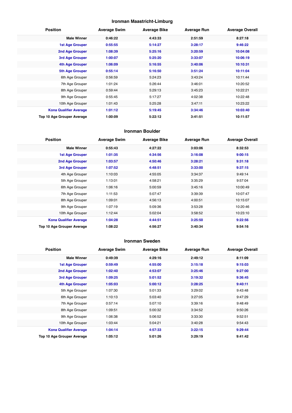## **Ironman Maastricht-Limburg**

| <b>Position</b>               | <b>Average Swim</b> | <b>Average Bike</b> | <b>Average Run</b> | <b>Average Overall</b> |
|-------------------------------|---------------------|---------------------|--------------------|------------------------|
| <b>Male Winner</b>            | 0:46:22             | 4:43:33             | 2:51:59            | 8:27:18                |
| <b>1st Age Grouper</b>        | 0:55:55             | 5:14:27             | 3:28:17            | 9:46:22                |
| 2nd Age Grouper               | 1:08:39             | 5:25:16             | 3:20:59            | 10:04:08               |
| 3rd Age Grouper               | 1:00:07             | 5:25:20             | 3:33:07            | 10:06:19               |
| 4th Age Grouper               | 1:06:09             | 5:16:55             | 3:40:06            | 10:10:31               |
| 5th Age Grouper               | 0:55:14             | 5:16:50             | 3:51:24            | 10:11:04               |
| 6th Age Grouper               | 0:56:59             | 5:24:23             | 3:43:24            | 10:11:44               |
| 7th Age Grouper               | 1:01:24             | 5:26:44             | 3:46:01            | 10:20:52               |
| 8th Age Grouper               | 0:59:44             | 5:29:13             | 3:45:23            | 10:22:21               |
| 9th Age Grouper               | 0:55:45             | 5:17:27             | 4:02:38            | 10:22:48               |
| 10th Age Grouper              | 1:01:43             | 5:25:28             | 3:47:11            | 10:23:22               |
| <b>Kona Qualifier Average</b> | 1:01:12             | 5:19:45             | 3:34:46            | 10:03:40               |
| Top 10 Age Grouper Average    | 1:00:09             | 5:22:12             | 3:41:51            | 10:11:57               |

#### **Ironman Boulder**

| <b>Position</b>               | <b>Average Swim</b> | <b>Average Bike</b> | <b>Average Run</b> | <b>Average Overall</b> |
|-------------------------------|---------------------|---------------------|--------------------|------------------------|
| <b>Male Winner</b>            | 0:55:43             | 4:27:22             | 3:03:06            | 8:32:53                |
| <b>1st Age Grouper</b>        | 1:01:35             | 4:34:56             | 3:16:08            | 9:00:15                |
| 2nd Age Grouper               | 1:03:57             | 4:50:46             | 3:28:21            | 9:31:18                |
| <b>3rd Age Grouper</b>        | 1:07:52             | 4:48:51             | 3:33:00            | 9:37:15                |
| 4th Age Grouper               | 1:10:03             | 4:55:05             | 3:34:37            | 9:49:14                |
| 5th Age Grouper               | 1:13:01             | 4:58:21             | 3:35:29            | 9:57:04                |
| 6th Age Grouper               | 1:06:16             | 5:00:59             | 3:45:16            | 10:00:49               |
| 7th Age Grouper               | 1:11:53             | 5:07:47             | 3:39:39            | 10:07:47               |
| 8th Age Grouper               | 1:09:01             | 4:56:13             | 4:00:51            | 10:15:07               |
| 9th Age Grouper               | 1:07:19             | 5:09:36             | 3:53:28            | 10:20:46               |
| 10th Age Grouper              | 1:12:44             | 5:02:04             | 3:58:52            | 10:23:10               |
| <b>Kona Qualifier Average</b> | 1:04:28             | 4:44:51             | 3:25:50            | 9:22:56                |
| Top 10 Age Grouper Average    | 1:08:22             | 4:56:27             | 3:40:34            | 9:54:16                |

#### **Ironman Sweden**

| <b>Position</b>               | <b>Average Swim</b> | <b>Average Bike</b> | <b>Average Run</b> | <b>Average Overall</b> |
|-------------------------------|---------------------|---------------------|--------------------|------------------------|
| <b>Male Winner</b>            | 0:49:39             | 4:29:16             | 2:49:12            | 8:11:09                |
| <b>1st Age Grouper</b>        | 0:59:49             | 4:55:00             | 3:15:18            | 9:15:03                |
| 2nd Age Grouper               | 1:02:40             | 4:53:07             | 3:25:46            | 9:27:00                |
| 3rd Age Grouper               | 1:09:25             | 5:01:52             | 3:19:32            | 9:36:45                |
| 4th Age Grouper               | 1:05:03             | 5:00:12             | 3:28:25            | 9:40:11                |
| 5th Age Grouper               | 1:07:30             | 5:01:33             | 3:29:02            | 9:43:48                |
| 6th Age Grouper               | 1:10:13             | 5:03:40             | 3:27:05            | 9:47:29                |
| 7th Age Grouper               | 0:57:14             | 5:07:10             | 3:39:16            | 9:48:49                |
| 8th Age Grouper               | 1:09:51             | 5:00:32             | 3:34:52            | 9:50:26                |
| 9th Age Grouper               | 1:06:38             | 5:06:52             | 3:33:30            | 9:52:51                |
| 10th Age Grouper              | 1:03:44             | 5:04:21             | 3:40:28            | 9:54:43                |
| <b>Kona Qualifier Average</b> | 1:04:14             | 4:57:33             | 3:22:15            | 9:29:44                |
| Top 10 Age Grouper Average    | 1:05:12             | 5:01:26             | 3:29:19            | 9:41:42                |